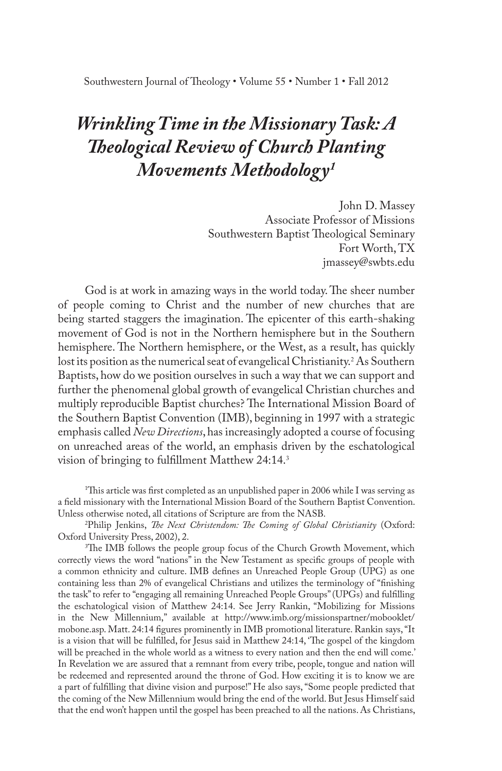# *Wrinkling Time in the Missionary Task: A Theological Review of Church Planting Movements Methodology1*

John D. Massey Associate Professor of Missions Southwestern Baptist Theological Seminary Fort Worth, TX jmassey@swbts.edu

God is at work in amazing ways in the world today. The sheer number of people coming to Christ and the number of new churches that are being started staggers the imagination. The epicenter of this earth-shaking movement of God is not in the Northern hemisphere but in the Southern hemisphere. The Northern hemisphere, or the West, as a result, has quickly lost its position as the numerical seat of evangelical Christianity.<sup>2</sup> As Southern Baptists, how do we position ourselves in such a way that we can support and further the phenomenal global growth of evangelical Christian churches and multiply reproducible Baptist churches? The International Mission Board of the Southern Baptist Convention (IMB), beginning in 1997 with a strategic emphasis called *New Directions*, has increasingly adopted a course of focusing on unreached areas of the world, an emphasis driven by the eschatological vision of bringing to fulfillment Matthew 24:14.3

1 This article was first completed as an unpublished paper in 2006 while I was serving as a field missionary with the International Mission Board of the Southern Baptist Convention. Unless otherwise noted, all citations of Scripture are from the NASB.

2 Philip Jenkins, *The Next Christendom: The Coming of Global Christianity* (Oxford: Oxford University Press, 2002), 2.

<sup>3</sup>The IMB follows the people group focus of the Church Growth Movement, which correctly views the word "nations" in the New Testament as specific groups of people with a common ethnicity and culture. IMB defines an Unreached People Group (UPG) as one containing less than 2% of evangelical Christians and utilizes the terminology of "finishing the task" to refer to "engaging all remaining Unreached People Groups" (UPGs) and fulfilling the eschatological vision of Matthew 24:14. See Jerry Rankin, "Mobilizing for Missions in the New Millennium," available at http://www.imb.org/missionspartner/mobooklet/ mobone.asp. Matt. 24:14 figures prominently in IMB promotional literature. Rankin says, "It is a vision that will be fulfilled, for Jesus said in Matthew 24:14, 'The gospel of the kingdom will be preached in the whole world as a witness to every nation and then the end will come.' In Revelation we are assured that a remnant from every tribe, people, tongue and nation will be redeemed and represented around the throne of God. How exciting it is to know we are a part of fulfilling that divine vision and purpose!" He also says, "Some people predicted that the coming of the New Millennium would bring the end of the world. But Jesus Himself said that the end won't happen until the gospel has been preached to all the nations. As Christians,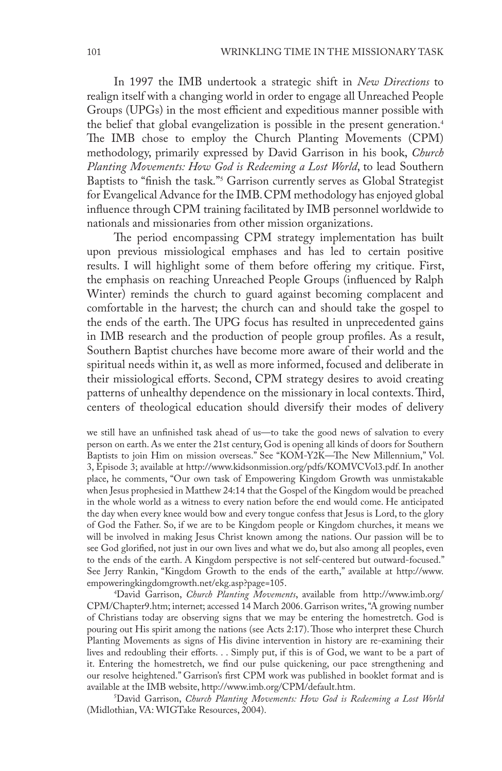In 1997 the IMB undertook a strategic shift in *New Directions* to realign itself with a changing world in order to engage all Unreached People Groups (UPGs) in the most efficient and expeditious manner possible with the belief that global evangelization is possible in the present generation.4 The IMB chose to employ the Church Planting Movements (CPM) methodology, primarily expressed by David Garrison in his book, *Church Planting Movements: How God is Redeeming a Lost World*, to lead Southern Baptists to "finish the task."<sup>5</sup> Garrison currently serves as Global Strategist for Evangelical Advance for the IMB. CPM methodology has enjoyed global influence through CPM training facilitated by IMB personnel worldwide to nationals and missionaries from other mission organizations.

The period encompassing CPM strategy implementation has built upon previous missiological emphases and has led to certain positive results. I will highlight some of them before offering my critique. First, the emphasis on reaching Unreached People Groups (influenced by Ralph Winter) reminds the church to guard against becoming complacent and comfortable in the harvest; the church can and should take the gospel to the ends of the earth. The UPG focus has resulted in unprecedented gains in IMB research and the production of people group profiles. As a result, Southern Baptist churches have become more aware of their world and the spiritual needs within it, as well as more informed, focused and deliberate in their missiological efforts. Second, CPM strategy desires to avoid creating patterns of unhealthy dependence on the missionary in local contexts. Third, centers of theological education should diversify their modes of delivery

we still have an unfinished task ahead of us—to take the good news of salvation to every person on earth. As we enter the 21st century, God is opening all kinds of doors for Southern Baptists to join Him on mission overseas." See "KOM-Y2K—The New Millennium," Vol. 3, Episode 3; available at http://www.kidsonmission.org/pdfs/KOMVCVol3.pdf. In another place, he comments, "Our own task of Empowering Kingdom Growth was unmistakable when Jesus prophesied in Matthew 24:14 that the Gospel of the Kingdom would be preached in the whole world as a witness to every nation before the end would come. He anticipated the day when every knee would bow and every tongue confess that Jesus is Lord, to the glory of God the Father. So, if we are to be Kingdom people or Kingdom churches, it means we will be involved in making Jesus Christ known among the nations. Our passion will be to see God glorified, not just in our own lives and what we do, but also among all peoples, even to the ends of the earth. A Kingdom perspective is not self-centered but outward-focused." See Jerry Rankin, "Kingdom Growth to the ends of the earth," available at http://www. empoweringkingdomgrowth.net/ekg.asp?page=105.

4 David Garrison, *Church Planting Movements*, available from http://www.imb.org/ CPM/Chapter9.htm; internet; accessed 14 March 2006. Garrison writes, "A growing number of Christians today are observing signs that we may be entering the homestretch. God is pouring out His spirit among the nations (see Acts 2:17). Those who interpret these Church Planting Movements as signs of His divine intervention in history are re-examining their lives and redoubling their efforts. . . Simply put, if this is of God, we want to be a part of it. Entering the homestretch, we find our pulse quickening, our pace strengthening and our resolve heightened." Garrison's first CPM work was published in booklet format and is available at the IMB website, http://www.imb.org/CPM/default.htm. 5

David Garrison, *Church Planting Movements: How God is Redeeming a Lost World* (Midlothian, VA: WIGTake Resources, 2004).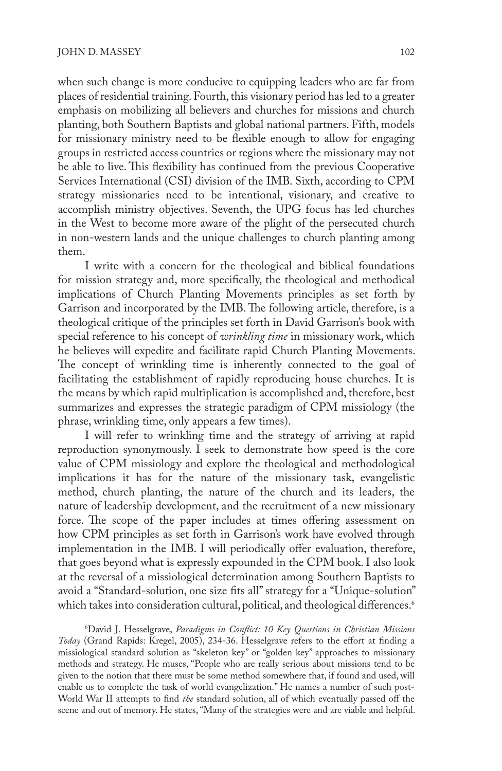when such change is more conducive to equipping leaders who are far from places of residential training. Fourth, this visionary period has led to a greater emphasis on mobilizing all believers and churches for missions and church planting, both Southern Baptists and global national partners. Fifth, models for missionary ministry need to be flexible enough to allow for engaging groups in restricted access countries or regions where the missionary may not be able to live. This flexibility has continued from the previous Cooperative Services International (CSI) division of the IMB. Sixth, according to CPM strategy missionaries need to be intentional, visionary, and creative to accomplish ministry objectives. Seventh, the UPG focus has led churches in the West to become more aware of the plight of the persecuted church in non-western lands and the unique challenges to church planting among them.

I write with a concern for the theological and biblical foundations for mission strategy and, more specifically, the theological and methodical implications of Church Planting Movements principles as set forth by Garrison and incorporated by the IMB. The following article, therefore, is a theological critique of the principles set forth in David Garrison's book with special reference to his concept of *wrinkling time* in missionary work, which he believes will expedite and facilitate rapid Church Planting Movements. The concept of wrinkling time is inherently connected to the goal of facilitating the establishment of rapidly reproducing house churches. It is the means by which rapid multiplication is accomplished and, therefore, best summarizes and expresses the strategic paradigm of CPM missiology (the phrase, wrinkling time, only appears a few times).

I will refer to wrinkling time and the strategy of arriving at rapid reproduction synonymously. I seek to demonstrate how speed is the core value of CPM missiology and explore the theological and methodological implications it has for the nature of the missionary task, evangelistic method, church planting, the nature of the church and its leaders, the nature of leadership development, and the recruitment of a new missionary force. The scope of the paper includes at times offering assessment on how CPM principles as set forth in Garrison's work have evolved through implementation in the IMB. I will periodically offer evaluation, therefore, that goes beyond what is expressly expounded in the CPM book. I also look at the reversal of a missiological determination among Southern Baptists to avoid a "Standard-solution, one size fits all" strategy for a "Unique-solution" which takes into consideration cultural, political, and theological differences.<sup>6</sup>

6 David J. Hesselgrave, *Paradigms in Conflict: 10 Key Questions in Christian Missions Today* (Grand Rapids: Kregel, 2005), 234-36. Hesselgrave refers to the effort at finding a missiological standard solution as "skeleton key" or "golden key" approaches to missionary methods and strategy. He muses, "People who are really serious about missions tend to be given to the notion that there must be some method somewhere that, if found and used, will enable us to complete the task of world evangelization." He names a number of such post-World War II attempts to find *the* standard solution, all of which eventually passed off the scene and out of memory. He states, "Many of the strategies were and are viable and helpful.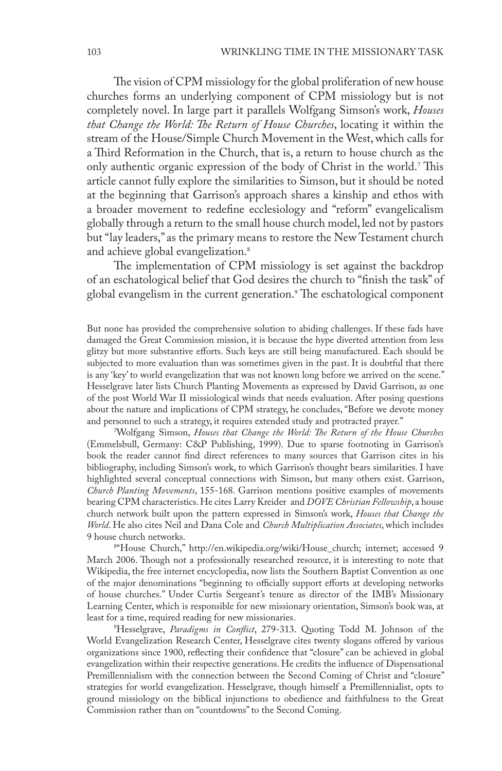The vision of CPM missiology for the global proliferation of new house churches forms an underlying component of CPM missiology but is not completely novel. In large part it parallels Wolfgang Simson's work, *Houses that Change the World: The Return of House Churches*, locating it within the stream of the House/Simple Church Movement in the West, which calls for a Third Reformation in the Church, that is, a return to house church as the only authentic organic expression of the body of Christ in the world.<sup>7</sup> This article cannot fully explore the similarities to Simson, but it should be noted at the beginning that Garrison's approach shares a kinship and ethos with a broader movement to redefine ecclesiology and "reform" evangelicalism globally through a return to the small house church model, led not by pastors but "lay leaders," as the primary means to restore the New Testament church and achieve global evangelization.<sup>8</sup>

The implementation of CPM missiology is set against the backdrop of an eschatological belief that God desires the church to "finish the task" of global evangelism in the current generation.<sup>9</sup> The eschatological component

But none has provided the comprehensive solution to abiding challenges. If these fads have damaged the Great Commission mission, it is because the hype diverted attention from less glitzy but more substantive efforts. Such keys are still being manufactured. Each should be subjected to more evaluation than was sometimes given in the past. It is doubtful that there is any 'key' to world evangelization that was not known long before we arrived on the scene." Hesselgrave later lists Church Planting Movements as expressed by David Garrison, as one of the post World War II missiological winds that needs evaluation. After posing questions about the nature and implications of CPM strategy, he concludes, "Before we devote money and personnel to such a strategy, it requires extended study and protracted prayer." 7

Wolfgang Simson, *Houses that Change the World: The Return of the House Churches*  (Emmelsbull, Germany: C&P Publishing, 1999). Due to sparse footnoting in Garrison's book the reader cannot find direct references to many sources that Garrison cites in his bibliography, including Simson's work, to which Garrison's thought bears similarities. I have highlighted several conceptual connections with Simson, but many others exist. Garrison, *Church Planting Movements*, 155-168. Garrison mentions positive examples of movements bearing CPM characteristics. He cites Larry Kreider and *DOVE Christian Fellowship*, a house church network built upon the pattern expressed in Simson's work, *Houses that Change the World*. He also cites Neil and Dana Cole and *Church Multiplication Associates*, which includes 9 house church networks.

<sup>84</sup>House Church," http://en.wikipedia.org/wiki/House\_church; internet; accessed 9 March 2006. Though not a professionally researched resource, it is interesting to note that Wikipedia, the free internet encyclopedia, now lists the Southern Baptist Convention as one of the major denominations "beginning to officially support efforts at developing networks of house churches." Under Curtis Sergeant's tenure as director of the IMB's Missionary Learning Center, which is responsible for new missionary orientation, Simson's book was, at least for a time, required reading for new missionaries.

9 Hesselgrave, *Paradigms in Conflict*, 279-313. Quoting Todd M. Johnson of the World Evangelization Research Center, Hesselgrave cites twenty slogans offered by various organizations since 1900, reflecting their confidence that "closure" can be achieved in global evangelization within their respective generations. He credits the influence of Dispensational Premillennialism with the connection between the Second Coming of Christ and "closure" strategies for world evangelization. Hesselgrave, though himself a Premillennialist, opts to ground missiology on the biblical injunctions to obedience and faithfulness to the Great Commission rather than on "countdowns" to the Second Coming.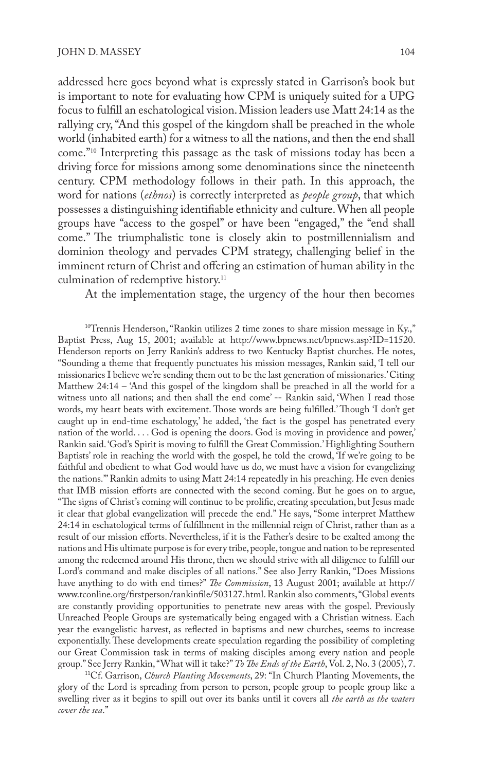addressed here goes beyond what is expressly stated in Garrison's book but is important to note for evaluating how CPM is uniquely suited for a UPG focus to fulfill an eschatological vision. Mission leaders use Matt 24:14 as the rallying cry, "And this gospel of the kingdom shall be preached in the whole world (inhabited earth) for a witness to all the nations, and then the end shall come."<sup>10</sup> Interpreting this passage as the task of missions today has been a driving force for missions among some denominations since the nineteenth century. CPM methodology follows in their path. In this approach, the word for nations (*ethnos*) is correctly interpreted as *people group*, that which possesses a distinguishing identifiable ethnicity and culture. When all people groups have "access to the gospel" or have been "engaged," the "end shall come." The triumphalistic tone is closely akin to postmillennialism and dominion theology and pervades CPM strategy, challenging belief in the imminent return of Christ and offering an estimation of human ability in the culmination of redemptive history.<sup>11</sup>

At the implementation stage, the urgency of the hour then becomes

 $10$ <sup>T</sup>rennis Henderson, "Rankin utilizes 2 time zones to share mission message in Ky.," Baptist Press, Aug 15, 2001; available at http://www.bpnews.net/bpnews.asp?ID=11520. Henderson reports on Jerry Rankin's address to two Kentucky Baptist churches. He notes, "Sounding a theme that frequently punctuates his mission messages, Rankin said, 'I tell our missionaries I believe we're sending them out to be the last generation of missionaries.' Citing Matthew 24:14 – 'And this gospel of the kingdom shall be preached in all the world for a witness unto all nations; and then shall the end come' -- Rankin said, 'When I read those words, my heart beats with excitement. Those words are being fulfilled.' Though 'I don't get caught up in end-time eschatology,' he added, 'the fact is the gospel has penetrated every nation of the world. . . . God is opening the doors. God is moving in providence and power,' Rankin said. 'God's Spirit is moving to fulfill the Great Commission.' Highlighting Southern Baptists' role in reaching the world with the gospel, he told the crowd, 'If we're going to be faithful and obedient to what God would have us do, we must have a vision for evangelizing the nations.'" Rankin admits to using Matt 24:14 repeatedly in his preaching. He even denies that IMB mission efforts are connected with the second coming. But he goes on to argue, "The signs of Christ's coming will continue to be prolific, creating speculation, but Jesus made it clear that global evangelization will precede the end." He says, "Some interpret Matthew 24:14 in eschatological terms of fulfillment in the millennial reign of Christ, rather than as a result of our mission efforts. Nevertheless, if it is the Father's desire to be exalted among the nations and His ultimate purpose is for every tribe, people, tongue and nation to be represented among the redeemed around His throne, then we should strive with all diligence to fulfill our Lord's command and make disciples of all nations." See also Jerry Rankin, "Does Missions have anything to do with end times?" *The Commission*, 13 August 2001; available at http:// www.tconline.org/firstperson/rankinfile/503127.html. Rankin also comments, "Global events are constantly providing opportunities to penetrate new areas with the gospel. Previously Unreached People Groups are systematically being engaged with a Christian witness. Each year the evangelistic harvest, as reflected in baptisms and new churches, seems to increase exponentially. These developments create speculation regarding the possibility of completing our Great Commission task in terms of making disciples among every nation and people group." See Jerry Rankin, "What will it take?" *To The Ends of the Earth*, Vol. 2, No. 3 (2005), 7.

11Cf. Garrison, *Church Planting Movements*, 29: "In Church Planting Movements, the glory of the Lord is spreading from person to person, people group to people group like a swelling river as it begins to spill out over its banks until it covers all *the earth as the waters cover the sea*."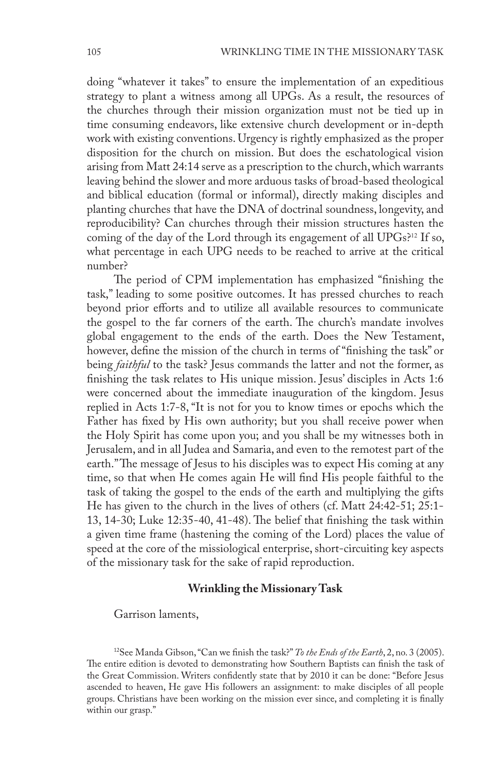doing "whatever it takes" to ensure the implementation of an expeditious strategy to plant a witness among all UPGs. As a result, the resources of the churches through their mission organization must not be tied up in time consuming endeavors, like extensive church development or in-depth work with existing conventions. Urgency is rightly emphasized as the proper disposition for the church on mission. But does the eschatological vision arising from Matt 24:14 serve as a prescription to the church, which warrants leaving behind the slower and more arduous tasks of broad-based theological and biblical education (formal or informal), directly making disciples and planting churches that have the DNA of doctrinal soundness, longevity, and reproducibility? Can churches through their mission structures hasten the coming of the day of the Lord through its engagement of all UPGs?<sup>12</sup> If so, what percentage in each UPG needs to be reached to arrive at the critical number?

The period of CPM implementation has emphasized "finishing the task," leading to some positive outcomes. It has pressed churches to reach beyond prior efforts and to utilize all available resources to communicate the gospel to the far corners of the earth. The church's mandate involves global engagement to the ends of the earth. Does the New Testament, however, define the mission of the church in terms of "finishing the task" or being *faithful* to the task? Jesus commands the latter and not the former, as finishing the task relates to His unique mission. Jesus' disciples in Acts 1:6 were concerned about the immediate inauguration of the kingdom. Jesus replied in Acts 1:7-8, "It is not for you to know times or epochs which the Father has fixed by His own authority; but you shall receive power when the Holy Spirit has come upon you; and you shall be my witnesses both in Jerusalem, and in all Judea and Samaria, and even to the remotest part of the earth." The message of Jesus to his disciples was to expect His coming at any time, so that when He comes again He will find His people faithful to the task of taking the gospel to the ends of the earth and multiplying the gifts He has given to the church in the lives of others (cf. Matt 24:42-51; 25:1- 13, 14-30; Luke 12:35-40, 41-48). The belief that finishing the task within a given time frame (hastening the coming of the Lord) places the value of speed at the core of the missiological enterprise, short-circuiting key aspects of the missionary task for the sake of rapid reproduction.

## **Wrinkling the Missionary Task**

Garrison laments,

12See Manda Gibson, "Can we finish the task?" *To the Ends of the Earth*, 2, no. 3 (2005). The entire edition is devoted to demonstrating how Southern Baptists can finish the task of the Great Commission. Writers confidently state that by 2010 it can be done: "Before Jesus ascended to heaven, He gave His followers an assignment: to make disciples of all people groups. Christians have been working on the mission ever since, and completing it is finally within our grasp."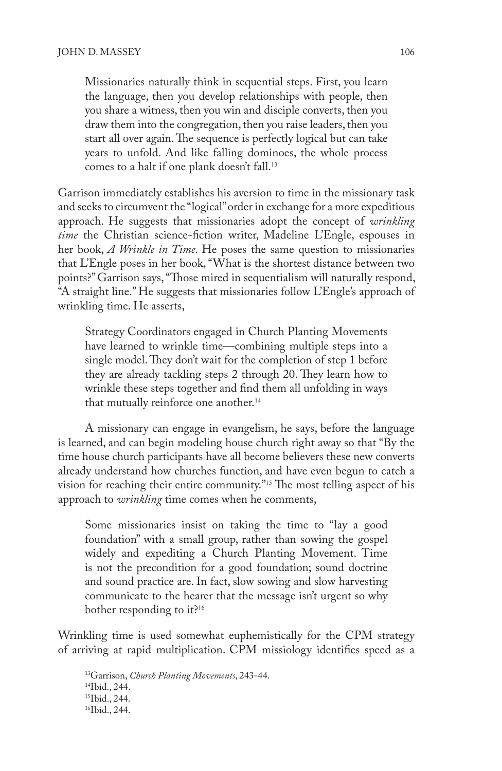Missionaries naturally think in sequential steps. First, you learn the language, then you develop relationships with people, then you share a witness, then you win and disciple converts, then you draw them into the congregation, then you raise leaders, then you start all over again. The sequence is perfectly logical but can take years to unfold. And like falling dominoes, the whole process comes to a halt if one plank doesn't fall.<sup>13</sup>

Garrison immediately establishes his aversion to time in the missionary task and seeks to circumvent the "logical" order in exchange for a more expeditious approach. He suggests that missionaries adopt the concept of *wrinkling time* the Christian science-fiction writer, Madeline L'Engle, espouses in her book, *A Wrinkle in Time*. He poses the same question to missionaries that L'Engle poses in her book, "What is the shortest distance between two points?" Garrison says, "Those mired in sequentialism will naturally respond, "A straight line." He suggests that missionaries follow L'Engle's approach of wrinkling time. He asserts,

Strategy Coordinators engaged in Church Planting Movements have learned to wrinkle time—combining multiple steps into a single model. They don't wait for the completion of step 1 before they are already tackling steps 2 through 20. They learn how to wrinkle these steps together and find them all unfolding in ways that mutually reinforce one another.<sup>14</sup>

A missionary can engage in evangelism, he says, before the language is learned, and can begin modeling house church right away so that "By the time house church participants have all become believers these new converts already understand how churches function, and have even begun to catch a vision for reaching their entire community."<sup>15</sup> The most telling aspect of his approach to *wrinkling* time comes when he comments,

Some missionaries insist on taking the time to "lay a good foundation" with a small group, rather than sowing the gospel widely and expediting a Church Planting Movement. Time is not the precondition for a good foundation; sound doctrine and sound practice are. In fact, slow sowing and slow harvesting communicate to the hearer that the message isn't urgent so why bother responding to it?<sup>16</sup>

Wrinkling time is used somewhat euphemistically for the CPM strategy of arriving at rapid multiplication. CPM missiology identifies speed as a

13Garrison, *Church Planting Movements*, 243-44. 14Ibid., 244. 15Ibid., 244. 16Ibid., 244.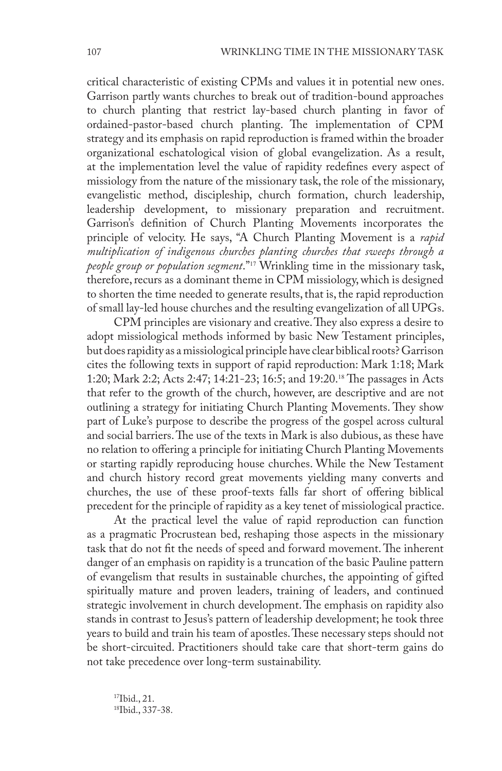critical characteristic of existing CPMs and values it in potential new ones. Garrison partly wants churches to break out of tradition-bound approaches to church planting that restrict lay-based church planting in favor of ordained-pastor-based church planting. The implementation of CPM strategy and its emphasis on rapid reproduction is framed within the broader organizational eschatological vision of global evangelization. As a result, at the implementation level the value of rapidity redefines every aspect of missiology from the nature of the missionary task, the role of the missionary, evangelistic method, discipleship, church formation, church leadership, leadership development, to missionary preparation and recruitment. Garrison's definition of Church Planting Movements incorporates the principle of velocity. He says, "A Church Planting Movement is a *rapid multiplication of indigenous churches planting churches that sweeps through a people group or population segment*."<sup>17</sup> Wrinkling time in the missionary task, therefore, recurs as a dominant theme in CPM missiology, which is designed to shorten the time needed to generate results, that is, the rapid reproduction of small lay-led house churches and the resulting evangelization of all UPGs.

CPM principles are visionary and creative. They also express a desire to adopt missiological methods informed by basic New Testament principles, but does rapidity as a missiological principle have clear biblical roots? Garrison cites the following texts in support of rapid reproduction: Mark 1:18; Mark 1:20; Mark 2:2; Acts 2:47; 14:21-23; 16:5; and 19:20.<sup>18</sup> The passages in Acts that refer to the growth of the church, however, are descriptive and are not outlining a strategy for initiating Church Planting Movements. They show part of Luke's purpose to describe the progress of the gospel across cultural and social barriers. The use of the texts in Mark is also dubious, as these have no relation to offering a principle for initiating Church Planting Movements or starting rapidly reproducing house churches. While the New Testament and church history record great movements yielding many converts and churches, the use of these proof-texts falls far short of offering biblical precedent for the principle of rapidity as a key tenet of missiological practice.

At the practical level the value of rapid reproduction can function as a pragmatic Procrustean bed, reshaping those aspects in the missionary task that do not fit the needs of speed and forward movement. The inherent danger of an emphasis on rapidity is a truncation of the basic Pauline pattern of evangelism that results in sustainable churches, the appointing of gifted spiritually mature and proven leaders, training of leaders, and continued strategic involvement in church development. The emphasis on rapidity also stands in contrast to Jesus's pattern of leadership development; he took three years to build and train his team of apostles. These necessary steps should not be short-circuited. Practitioners should take care that short-term gains do not take precedence over long-term sustainability.

17Ibid., 21. 18Ibid., 337-38.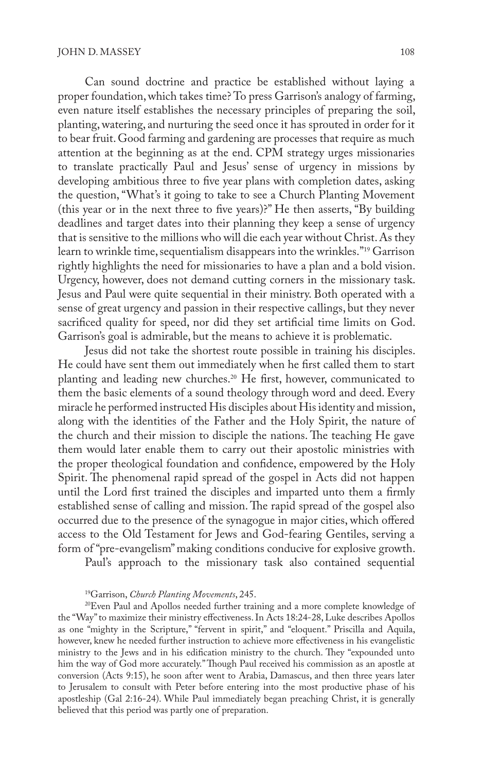Can sound doctrine and practice be established without laying a proper foundation, which takes time? To press Garrison's analogy of farming, even nature itself establishes the necessary principles of preparing the soil, planting, watering, and nurturing the seed once it has sprouted in order for it to bear fruit. Good farming and gardening are processes that require as much attention at the beginning as at the end. CPM strategy urges missionaries to translate practically Paul and Jesus' sense of urgency in missions by developing ambitious three to five year plans with completion dates, asking the question, "What's it going to take to see a Church Planting Movement (this year or in the next three to five years)?" He then asserts, "By building deadlines and target dates into their planning they keep a sense of urgency that is sensitive to the millions who will die each year without Christ. As they learn to wrinkle time, sequentialism disappears into the wrinkles."19 Garrison rightly highlights the need for missionaries to have a plan and a bold vision. Urgency, however, does not demand cutting corners in the missionary task. Jesus and Paul were quite sequential in their ministry. Both operated with a sense of great urgency and passion in their respective callings, but they never sacrificed quality for speed, nor did they set artificial time limits on God. Garrison's goal is admirable, but the means to achieve it is problematic.

Jesus did not take the shortest route possible in training his disciples. He could have sent them out immediately when he first called them to start planting and leading new churches.<sup>20</sup> He first, however, communicated to them the basic elements of a sound theology through word and deed. Every miracle he performed instructed His disciples about His identity and mission, along with the identities of the Father and the Holy Spirit, the nature of the church and their mission to disciple the nations. The teaching He gave them would later enable them to carry out their apostolic ministries with the proper theological foundation and confidence, empowered by the Holy Spirit. The phenomenal rapid spread of the gospel in Acts did not happen until the Lord first trained the disciples and imparted unto them a firmly established sense of calling and mission. The rapid spread of the gospel also occurred due to the presence of the synagogue in major cities, which offered access to the Old Testament for Jews and God-fearing Gentiles, serving a form of "pre-evangelism" making conditions conducive for explosive growth.

Paul's approach to the missionary task also contained sequential

#### 19Garrison, *Church Planting Movements*, 245.

20Even Paul and Apollos needed further training and a more complete knowledge of the "Way" to maximize their ministry effectiveness. In Acts 18:24-28, Luke describes Apollos as one "mighty in the Scripture," "fervent in spirit," and "eloquent." Priscilla and Aquila, however, knew he needed further instruction to achieve more effectiveness in his evangelistic ministry to the Jews and in his edification ministry to the church. They "expounded unto him the way of God more accurately." Though Paul received his commission as an apostle at conversion (Acts 9:15), he soon after went to Arabia, Damascus, and then three years later to Jerusalem to consult with Peter before entering into the most productive phase of his apostleship (Gal 2:16-24). While Paul immediately began preaching Christ, it is generally believed that this period was partly one of preparation.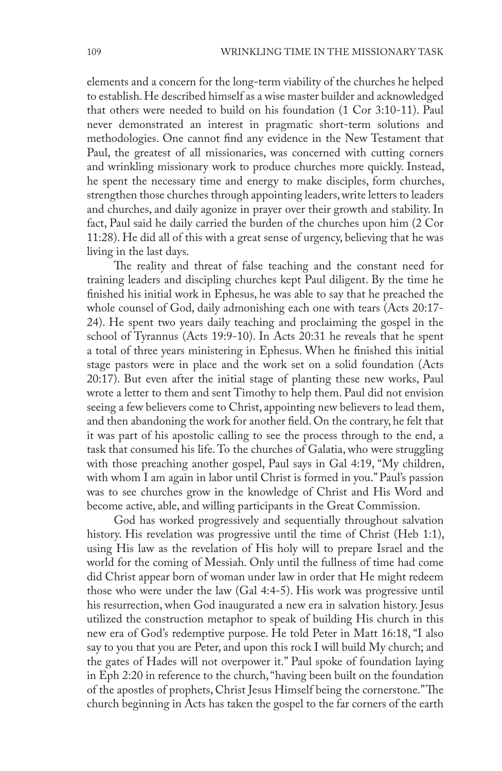elements and a concern for the long-term viability of the churches he helped to establish. He described himself as a wise master builder and acknowledged that others were needed to build on his foundation (1 Cor 3:10-11). Paul never demonstrated an interest in pragmatic short-term solutions and methodologies. One cannot find any evidence in the New Testament that Paul, the greatest of all missionaries, was concerned with cutting corners and wrinkling missionary work to produce churches more quickly. Instead, he spent the necessary time and energy to make disciples, form churches, strengthen those churches through appointing leaders, write letters to leaders and churches, and daily agonize in prayer over their growth and stability. In fact, Paul said he daily carried the burden of the churches upon him (2 Cor 11:28). He did all of this with a great sense of urgency, believing that he was living in the last days.

The reality and threat of false teaching and the constant need for training leaders and discipling churches kept Paul diligent. By the time he finished his initial work in Ephesus, he was able to say that he preached the whole counsel of God, daily admonishing each one with tears (Acts 20:17- 24). He spent two years daily teaching and proclaiming the gospel in the school of Tyrannus (Acts 19:9-10). In Acts 20:31 he reveals that he spent a total of three years ministering in Ephesus. When he finished this initial stage pastors were in place and the work set on a solid foundation (Acts 20:17). But even after the initial stage of planting these new works, Paul wrote a letter to them and sent Timothy to help them. Paul did not envision seeing a few believers come to Christ, appointing new believers to lead them, and then abandoning the work for another field. On the contrary, he felt that it was part of his apostolic calling to see the process through to the end, a task that consumed his life. To the churches of Galatia, who were struggling with those preaching another gospel, Paul says in Gal 4:19, "My children, with whom I am again in labor until Christ is formed in you." Paul's passion was to see churches grow in the knowledge of Christ and His Word and become active, able, and willing participants in the Great Commission.

God has worked progressively and sequentially throughout salvation history. His revelation was progressive until the time of Christ (Heb 1:1), using His law as the revelation of His holy will to prepare Israel and the world for the coming of Messiah. Only until the fullness of time had come did Christ appear born of woman under law in order that He might redeem those who were under the law (Gal 4:4-5). His work was progressive until his resurrection, when God inaugurated a new era in salvation history. Jesus utilized the construction metaphor to speak of building His church in this new era of God's redemptive purpose. He told Peter in Matt 16:18, "I also say to you that you are Peter, and upon this rock I will build My church; and the gates of Hades will not overpower it." Paul spoke of foundation laying in Eph 2:20 in reference to the church, "having been built on the foundation of the apostles of prophets, Christ Jesus Himself being the cornerstone." The church beginning in Acts has taken the gospel to the far corners of the earth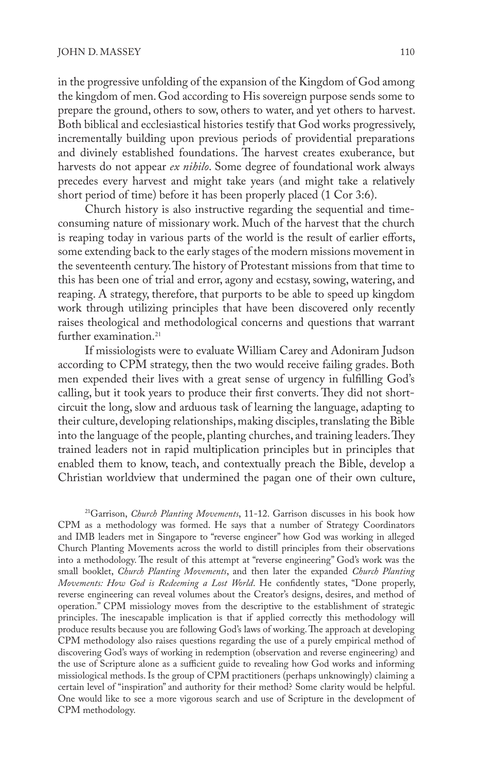in the progressive unfolding of the expansion of the Kingdom of God among the kingdom of men. God according to His sovereign purpose sends some to prepare the ground, others to sow, others to water, and yet others to harvest. Both biblical and ecclesiastical histories testify that God works progressively, incrementally building upon previous periods of providential preparations and divinely established foundations. The harvest creates exuberance, but harvests do not appear *ex nihilo*. Some degree of foundational work always precedes every harvest and might take years (and might take a relatively short period of time) before it has been properly placed (1 Cor 3:6).

Church history is also instructive regarding the sequential and timeconsuming nature of missionary work. Much of the harvest that the church is reaping today in various parts of the world is the result of earlier efforts, some extending back to the early stages of the modern missions movement in the seventeenth century. The history of Protestant missions from that time to this has been one of trial and error, agony and ecstasy, sowing, watering, and reaping. A strategy, therefore, that purports to be able to speed up kingdom work through utilizing principles that have been discovered only recently raises theological and methodological concerns and questions that warrant further examination.<sup>21</sup>

If missiologists were to evaluate William Carey and Adoniram Judson according to CPM strategy, then the two would receive failing grades. Both men expended their lives with a great sense of urgency in fulfilling God's calling, but it took years to produce their first converts. They did not shortcircuit the long, slow and arduous task of learning the language, adapting to their culture, developing relationships, making disciples, translating the Bible into the language of the people, planting churches, and training leaders. They trained leaders not in rapid multiplication principles but in principles that enabled them to know, teach, and contextually preach the Bible, develop a Christian worldview that undermined the pagan one of their own culture,

21Garrison, *Church Planting Movements*, 11-12. Garrison discusses in his book how CPM as a methodology was formed. He says that a number of Strategy Coordinators and IMB leaders met in Singapore to "reverse engineer" how God was working in alleged Church Planting Movements across the world to distill principles from their observations into a methodology. The result of this attempt at "reverse engineering" God's work was the small booklet, *Church Planting Movements*, and then later the expanded *Church Planting Movements: How God is Redeeming a Lost World*. He confidently states, "Done properly, reverse engineering can reveal volumes about the Creator's designs, desires, and method of operation." CPM missiology moves from the descriptive to the establishment of strategic principles. The inescapable implication is that if applied correctly this methodology will produce results because you are following God's laws of working. The approach at developing CPM methodology also raises questions regarding the use of a purely empirical method of discovering God's ways of working in redemption (observation and reverse engineering) and the use of Scripture alone as a sufficient guide to revealing how God works and informing missiological methods. Is the group of CPM practitioners (perhaps unknowingly) claiming a certain level of "inspiration" and authority for their method? Some clarity would be helpful. One would like to see a more vigorous search and use of Scripture in the development of CPM methodology.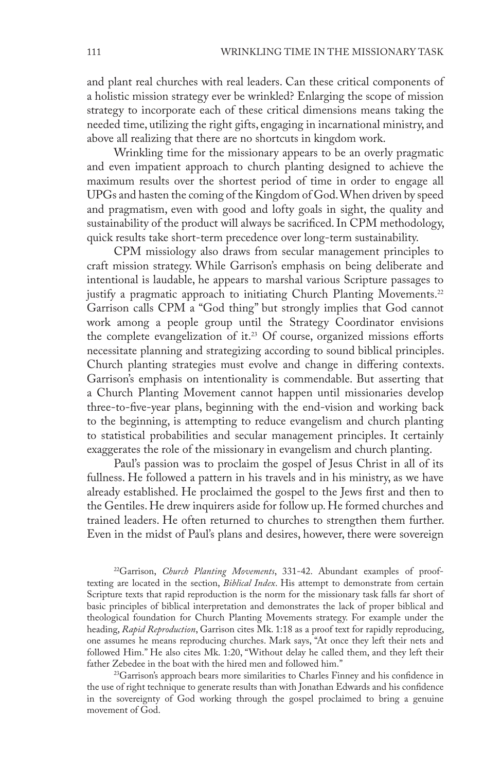and plant real churches with real leaders. Can these critical components of a holistic mission strategy ever be wrinkled? Enlarging the scope of mission strategy to incorporate each of these critical dimensions means taking the needed time, utilizing the right gifts, engaging in incarnational ministry, and above all realizing that there are no shortcuts in kingdom work.

Wrinkling time for the missionary appears to be an overly pragmatic and even impatient approach to church planting designed to achieve the maximum results over the shortest period of time in order to engage all UPGs and hasten the coming of the Kingdom of God. When driven by speed and pragmatism, even with good and lofty goals in sight, the quality and sustainability of the product will always be sacrificed. In CPM methodology, quick results take short-term precedence over long-term sustainability.

CPM missiology also draws from secular management principles to craft mission strategy. While Garrison's emphasis on being deliberate and intentional is laudable, he appears to marshal various Scripture passages to justify a pragmatic approach to initiating Church Planting Movements.<sup>22</sup> Garrison calls CPM a "God thing" but strongly implies that God cannot work among a people group until the Strategy Coordinator envisions the complete evangelization of it.<sup>23</sup> Of course, organized missions efforts necessitate planning and strategizing according to sound biblical principles. Church planting strategies must evolve and change in differing contexts. Garrison's emphasis on intentionality is commendable. But asserting that a Church Planting Movement cannot happen until missionaries develop three-to-five-year plans, beginning with the end-vision and working back to the beginning, is attempting to reduce evangelism and church planting to statistical probabilities and secular management principles. It certainly exaggerates the role of the missionary in evangelism and church planting.

Paul's passion was to proclaim the gospel of Jesus Christ in all of its fullness. He followed a pattern in his travels and in his ministry, as we have already established. He proclaimed the gospel to the Jews first and then to the Gentiles. He drew inquirers aside for follow up. He formed churches and trained leaders. He often returned to churches to strengthen them further. Even in the midst of Paul's plans and desires, however, there were sovereign

22Garrison, *Church Planting Movements*, 331-42. Abundant examples of prooftexting are located in the section, *Biblical Index*. His attempt to demonstrate from certain Scripture texts that rapid reproduction is the norm for the missionary task falls far short of basic principles of biblical interpretation and demonstrates the lack of proper biblical and theological foundation for Church Planting Movements strategy. For example under the heading, *Rapid Reproduction*, Garrison cites Mk. 1:18 as a proof text for rapidly reproducing, one assumes he means reproducing churches. Mark says, "At once they left their nets and followed Him." He also cites Mk. 1:20, "Without delay he called them, and they left their father Zebedee in the boat with the hired men and followed him."

<sup>23</sup>Garrison's approach bears more similarities to Charles Finney and his confidence in the use of right technique to generate results than with Jonathan Edwards and his confidence in the sovereignty of God working through the gospel proclaimed to bring a genuine movement of God.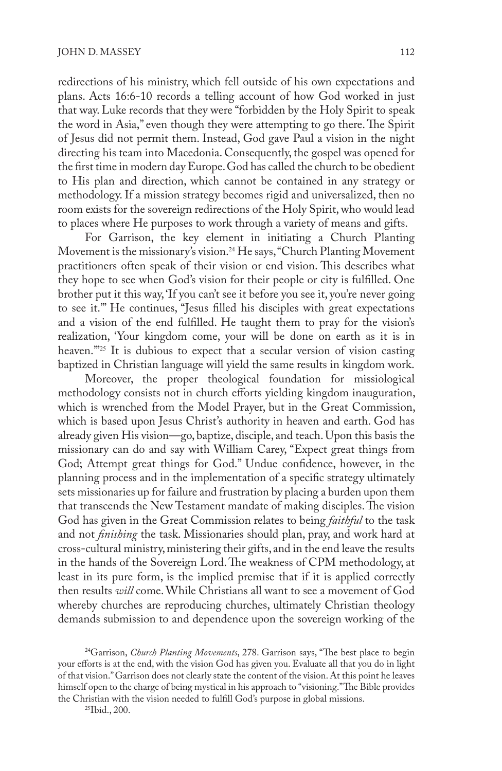redirections of his ministry, which fell outside of his own expectations and plans. Acts 16:6-10 records a telling account of how God worked in just that way. Luke records that they were "forbidden by the Holy Spirit to speak the word in Asia," even though they were attempting to go there. The Spirit of Jesus did not permit them. Instead, God gave Paul a vision in the night directing his team into Macedonia. Consequently, the gospel was opened for the first time in modern day Europe. God has called the church to be obedient to His plan and direction, which cannot be contained in any strategy or methodology. If a mission strategy becomes rigid and universalized, then no room exists for the sovereign redirections of the Holy Spirit, who would lead to places where He purposes to work through a variety of means and gifts.

For Garrison, the key element in initiating a Church Planting Movement is the missionary's vision.<sup>24</sup> He says, "Church Planting Movement practitioners often speak of their vision or end vision. This describes what they hope to see when God's vision for their people or city is fulfilled. One brother put it this way, 'If you can't see it before you see it, you're never going to see it.'" He continues, "Jesus filled his disciples with great expectations and a vision of the end fulfilled. He taught them to pray for the vision's realization, 'Your kingdom come, your will be done on earth as it is in heaven."<sup>25</sup> It is dubious to expect that a secular version of vision casting baptized in Christian language will yield the same results in kingdom work.

Moreover, the proper theological foundation for missiological methodology consists not in church efforts yielding kingdom inauguration, which is wrenched from the Model Prayer, but in the Great Commission, which is based upon Jesus Christ's authority in heaven and earth. God has already given His vision—go, baptize, disciple, and teach. Upon this basis the missionary can do and say with William Carey, "Expect great things from God; Attempt great things for God." Undue confidence, however, in the planning process and in the implementation of a specific strategy ultimately sets missionaries up for failure and frustration by placing a burden upon them that transcends the New Testament mandate of making disciples. The vision God has given in the Great Commission relates to being *faithful* to the task and not *finishing* the task. Missionaries should plan, pray, and work hard at cross-cultural ministry, ministering their gifts, and in the end leave the results in the hands of the Sovereign Lord. The weakness of CPM methodology, at least in its pure form, is the implied premise that if it is applied correctly then results *will* come. While Christians all want to see a movement of God whereby churches are reproducing churches, ultimately Christian theology demands submission to and dependence upon the sovereign working of the

24Garrison, *Church Planting Movements*, 278. Garrison says, "The best place to begin your efforts is at the end, with the vision God has given you. Evaluate all that you do in light of that vision." Garrison does not clearly state the content of the vision. At this point he leaves himself open to the charge of being mystical in his approach to "visioning." The Bible provides the Christian with the vision needed to fulfill God's purpose in global missions.

25Ibid., 200.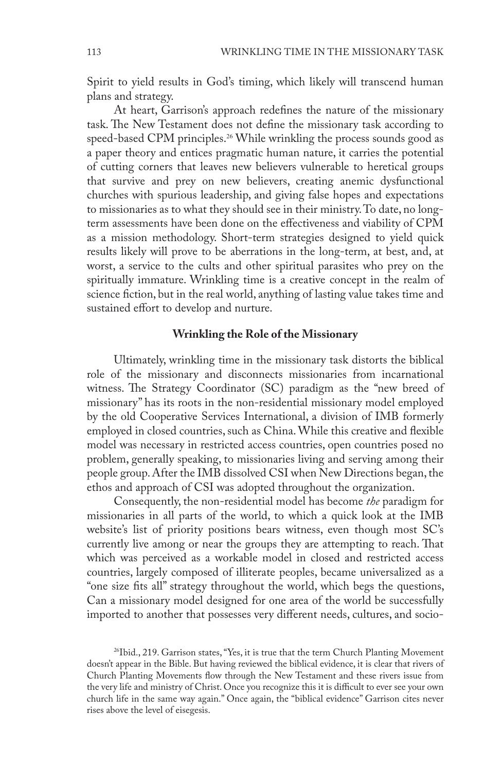Spirit to yield results in God's timing, which likely will transcend human plans and strategy.

At heart, Garrison's approach redefines the nature of the missionary task. The New Testament does not define the missionary task according to speed-based CPM principles.<sup>26</sup> While wrinkling the process sounds good as a paper theory and entices pragmatic human nature, it carries the potential of cutting corners that leaves new believers vulnerable to heretical groups that survive and prey on new believers, creating anemic dysfunctional churches with spurious leadership, and giving false hopes and expectations to missionaries as to what they should see in their ministry. To date, no longterm assessments have been done on the effectiveness and viability of CPM as a mission methodology. Short-term strategies designed to yield quick results likely will prove to be aberrations in the long-term, at best, and, at worst, a service to the cults and other spiritual parasites who prey on the spiritually immature. Wrinkling time is a creative concept in the realm of science fiction, but in the real world, anything of lasting value takes time and sustained effort to develop and nurture.

#### **Wrinkling the Role of the Missionary**

Ultimately, wrinkling time in the missionary task distorts the biblical role of the missionary and disconnects missionaries from incarnational witness. The Strategy Coordinator (SC) paradigm as the "new breed of missionary" has its roots in the non-residential missionary model employed by the old Cooperative Services International, a division of IMB formerly employed in closed countries, such as China. While this creative and flexible model was necessary in restricted access countries, open countries posed no problem, generally speaking, to missionaries living and serving among their people group. After the IMB dissolved CSI when New Directions began, the ethos and approach of CSI was adopted throughout the organization.

Consequently, the non-residential model has become *the* paradigm for missionaries in all parts of the world, to which a quick look at the IMB website's list of priority positions bears witness, even though most SC's currently live among or near the groups they are attempting to reach. That which was perceived as a workable model in closed and restricted access countries, largely composed of illiterate peoples, became universalized as a "one size fits all" strategy throughout the world, which begs the questions, Can a missionary model designed for one area of the world be successfully imported to another that possesses very different needs, cultures, and socio-

<sup>26</sup>Ibid., 219. Garrison states, "Yes, it is true that the term Church Planting Movement doesn't appear in the Bible. But having reviewed the biblical evidence, it is clear that rivers of Church Planting Movements flow through the New Testament and these rivers issue from the very life and ministry of Christ. Once you recognize this it is difficult to ever see your own church life in the same way again." Once again, the "biblical evidence" Garrison cites never rises above the level of eisegesis.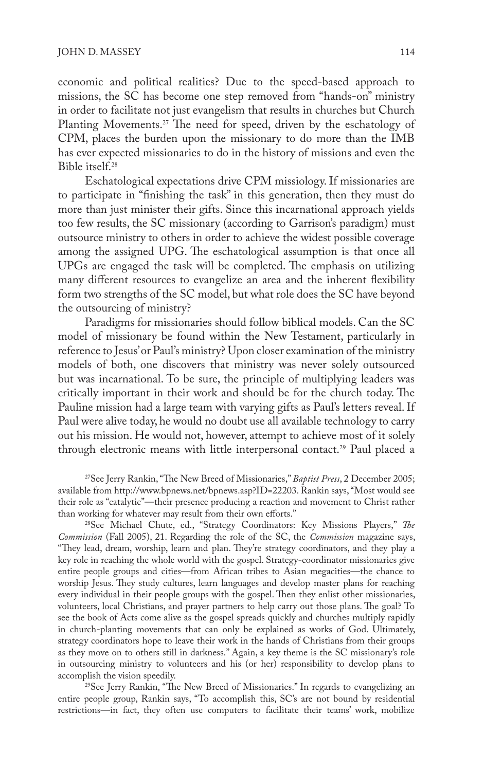economic and political realities? Due to the speed-based approach to missions, the SC has become one step removed from "hands-on" ministry in order to facilitate not just evangelism that results in churches but Church Planting Movements.<sup>27</sup> The need for speed, driven by the eschatology of CPM, places the burden upon the missionary to do more than the IMB has ever expected missionaries to do in the history of missions and even the Bible itself.<sup>28</sup>

Eschatological expectations drive CPM missiology. If missionaries are to participate in "finishing the task" in this generation, then they must do more than just minister their gifts. Since this incarnational approach yields too few results, the SC missionary (according to Garrison's paradigm) must outsource ministry to others in order to achieve the widest possible coverage among the assigned UPG. The eschatological assumption is that once all UPGs are engaged the task will be completed. The emphasis on utilizing many different resources to evangelize an area and the inherent flexibility form two strengths of the SC model, but what role does the SC have beyond the outsourcing of ministry?

Paradigms for missionaries should follow biblical models. Can the SC model of missionary be found within the New Testament, particularly in reference to Jesus' or Paul's ministry? Upon closer examination of the ministry models of both, one discovers that ministry was never solely outsourced but was incarnational. To be sure, the principle of multiplying leaders was critically important in their work and should be for the church today. The Pauline mission had a large team with varying gifts as Paul's letters reveal. If Paul were alive today, he would no doubt use all available technology to carry out his mission. He would not, however, attempt to achieve most of it solely through electronic means with little interpersonal contact.<sup>29</sup> Paul placed a

27See Jerry Rankin, "The New Breed of Missionaries," *Baptist Press*, 2 December 2005; available from http://www.bpnews.net/bpnews.asp?ID=22203. Rankin says, "Most would see their role as "catalytic"—their presence producing a reaction and movement to Christ rather than working for whatever may result from their own efforts."

28See Michael Chute, ed., "Strategy Coordinators: Key Missions Players," *The Commission* (Fall 2005), 21. Regarding the role of the SC, the *Commission* magazine says, "They lead, dream, worship, learn and plan. They're strategy coordinators, and they play a key role in reaching the whole world with the gospel. Strategy-coordinator missionaries give entire people groups and cities—from African tribes to Asian megacities—the chance to worship Jesus. They study cultures, learn languages and develop master plans for reaching every individual in their people groups with the gospel. Then they enlist other missionaries, volunteers, local Christians, and prayer partners to help carry out those plans. The goal? To see the book of Acts come alive as the gospel spreads quickly and churches multiply rapidly in church-planting movements that can only be explained as works of God. Ultimately, strategy coordinators hope to leave their work in the hands of Christians from their groups as they move on to others still in darkness." Again, a key theme is the SC missionary's role in outsourcing ministry to volunteers and his (or her) responsibility to develop plans to

<sup>29</sup>See Jerry Rankin, "The New Breed of Missionaries." In regards to evangelizing an entire people group, Rankin says, "To accomplish this, SC's are not bound by residential restrictions—in fact, they often use computers to facilitate their teams' work, mobilize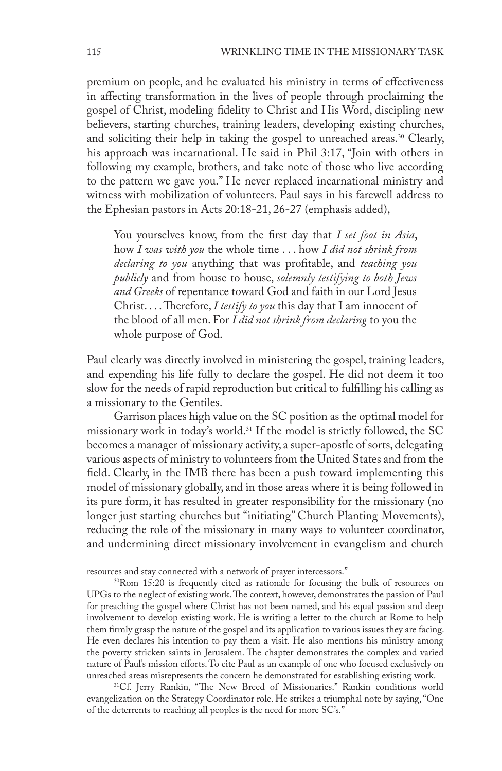premium on people, and he evaluated his ministry in terms of effectiveness in affecting transformation in the lives of people through proclaiming the gospel of Christ, modeling fidelity to Christ and His Word, discipling new believers, starting churches, training leaders, developing existing churches, and soliciting their help in taking the gospel to unreached areas.<sup>30</sup> Clearly, his approach was incarnational. He said in Phil 3:17, "Join with others in following my example, brothers, and take note of those who live according to the pattern we gave you." He never replaced incarnational ministry and witness with mobilization of volunteers. Paul says in his farewell address to the Ephesian pastors in Acts 20:18-21, 26-27 (emphasis added),

You yourselves know, from the first day that *I set foot in Asia*, how *I was with you* the whole time . . . how *I did not shrink from declaring to you* anything that was profitable, and *teaching you publicly* and from house to house, *solemnly testifying to both Jews and Greeks* of repentance toward God and faith in our Lord Jesus Christ. . . . Therefore, *I testify to you* this day that I am innocent of the blood of all men. For *I did not shrink from declaring* to you the whole purpose of God.

Paul clearly was directly involved in ministering the gospel, training leaders, and expending his life fully to declare the gospel. He did not deem it too slow for the needs of rapid reproduction but critical to fulfilling his calling as a missionary to the Gentiles.

Garrison places high value on the SC position as the optimal model for missionary work in today's world.<sup>31</sup> If the model is strictly followed, the SC becomes a manager of missionary activity, a super-apostle of sorts, delegating various aspects of ministry to volunteers from the United States and from the field. Clearly, in the IMB there has been a push toward implementing this model of missionary globally, and in those areas where it is being followed in its pure form, it has resulted in greater responsibility for the missionary (no longer just starting churches but "initiating" Church Planting Movements), reducing the role of the missionary in many ways to volunteer coordinator, and undermining direct missionary involvement in evangelism and church

resources and stay connected with a network of prayer intercessors." 30Rom 15:20 is frequently cited as rationale for focusing the bulk of resources on UPGs to the neglect of existing work. The context, however, demonstrates the passion of Paul for preaching the gospel where Christ has not been named, and his equal passion and deep involvement to develop existing work. He is writing a letter to the church at Rome to help them firmly grasp the nature of the gospel and its application to various issues they are facing. He even declares his intention to pay them a visit. He also mentions his ministry among the poverty stricken saints in Jerusalem. The chapter demonstrates the complex and varied nature of Paul's mission efforts. To cite Paul as an example of one who focused exclusively on<br>unreached areas misrepresents the concern he demonstrated for establishing existing work.

<sup>31</sup>Cf. Jerry Rankin, "The New Breed of Missionaries." Rankin conditions world evangelization on the Strategy Coordinator role. He strikes a triumphal note by saying, "One of the deterrents to reaching all peoples is the need for more SC's."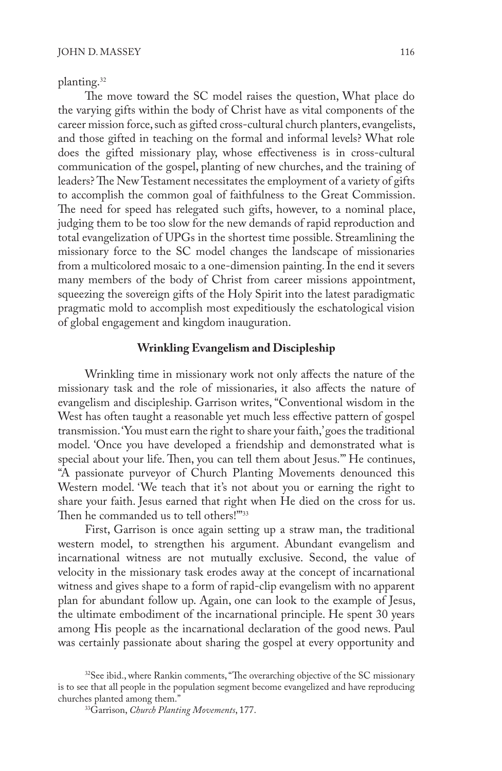planting.<sup>32</sup>

The move toward the SC model raises the question, What place do the varying gifts within the body of Christ have as vital components of the career mission force, such as gifted cross-cultural church planters, evangelists, and those gifted in teaching on the formal and informal levels? What role does the gifted missionary play, whose effectiveness is in cross-cultural communication of the gospel, planting of new churches, and the training of leaders? The New Testament necessitates the employment of a variety of gifts to accomplish the common goal of faithfulness to the Great Commission. The need for speed has relegated such gifts, however, to a nominal place, judging them to be too slow for the new demands of rapid reproduction and total evangelization of UPGs in the shortest time possible. Streamlining the missionary force to the SC model changes the landscape of missionaries from a multicolored mosaic to a one-dimension painting. In the end it severs many members of the body of Christ from career missions appointment, squeezing the sovereign gifts of the Holy Spirit into the latest paradigmatic pragmatic mold to accomplish most expeditiously the eschatological vision of global engagement and kingdom inauguration.

## **Wrinkling Evangelism and Discipleship**

Wrinkling time in missionary work not only affects the nature of the missionary task and the role of missionaries, it also affects the nature of evangelism and discipleship. Garrison writes, "Conventional wisdom in the West has often taught a reasonable yet much less effective pattern of gospel transmission. 'You must earn the right to share your faith,' goes the traditional model. 'Once you have developed a friendship and demonstrated what is special about your life. Then, you can tell them about Jesus.'" He continues, "A passionate purveyor of Church Planting Movements denounced this Western model. 'We teach that it's not about you or earning the right to share your faith. Jesus earned that right when He died on the cross for us. Then he commanded us to tell others!"<sup>33</sup>

First, Garrison is once again setting up a straw man, the traditional western model, to strengthen his argument. Abundant evangelism and incarnational witness are not mutually exclusive. Second, the value of velocity in the missionary task erodes away at the concept of incarnational witness and gives shape to a form of rapid-clip evangelism with no apparent plan for abundant follow up. Again, one can look to the example of Jesus, the ultimate embodiment of the incarnational principle. He spent 30 years among His people as the incarnational declaration of the good news. Paul was certainly passionate about sharing the gospel at every opportunity and

<sup>&</sup>lt;sup>32</sup>See ibid., where Rankin comments, "The overarching objective of the SC missionary is to see that all people in the population segment become evangelized and have reproducing churches planted among them."

<sup>33</sup>Garrison, *Church Planting Movements*, 177.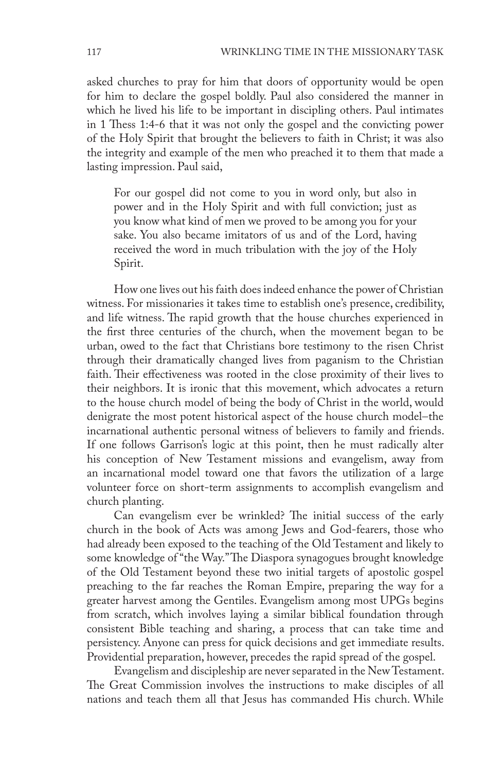asked churches to pray for him that doors of opportunity would be open for him to declare the gospel boldly. Paul also considered the manner in which he lived his life to be important in discipling others. Paul intimates in 1 Thess 1:4-6 that it was not only the gospel and the convicting power of the Holy Spirit that brought the believers to faith in Christ; it was also the integrity and example of the men who preached it to them that made a lasting impression. Paul said,

For our gospel did not come to you in word only, but also in power and in the Holy Spirit and with full conviction; just as you know what kind of men we proved to be among you for your sake. You also became imitators of us and of the Lord, having received the word in much tribulation with the joy of the Holy Spirit.

How one lives out his faith does indeed enhance the power of Christian witness. For missionaries it takes time to establish one's presence, credibility, and life witness. The rapid growth that the house churches experienced in the first three centuries of the church, when the movement began to be urban, owed to the fact that Christians bore testimony to the risen Christ through their dramatically changed lives from paganism to the Christian faith. Their effectiveness was rooted in the close proximity of their lives to their neighbors. It is ironic that this movement, which advocates a return to the house church model of being the body of Christ in the world, would denigrate the most potent historical aspect of the house church model-the incarnational authentic personal witness of believers to family and friends. If one follows Garrison's logic at this point, then he must radically alter his conception of New Testament missions and evangelism, away from an incarnational model toward one that favors the utilization of a large volunteer force on short-term assignments to accomplish evangelism and church planting.

Can evangelism ever be wrinkled? The initial success of the early church in the book of Acts was among Jews and God-fearers, those who had already been exposed to the teaching of the Old Testament and likely to some knowledge of "the Way." The Diaspora synagogues brought knowledge of the Old Testament beyond these two initial targets of apostolic gospel preaching to the far reaches the Roman Empire, preparing the way for a greater harvest among the Gentiles. Evangelism among most UPGs begins from scratch, which involves laying a similar biblical foundation through consistent Bible teaching and sharing, a process that can take time and persistency. Anyone can press for quick decisions and get immediate results. Providential preparation, however, precedes the rapid spread of the gospel.

Evangelism and discipleship are never separated in the New Testament. The Great Commission involves the instructions to make disciples of all nations and teach them all that Jesus has commanded His church. While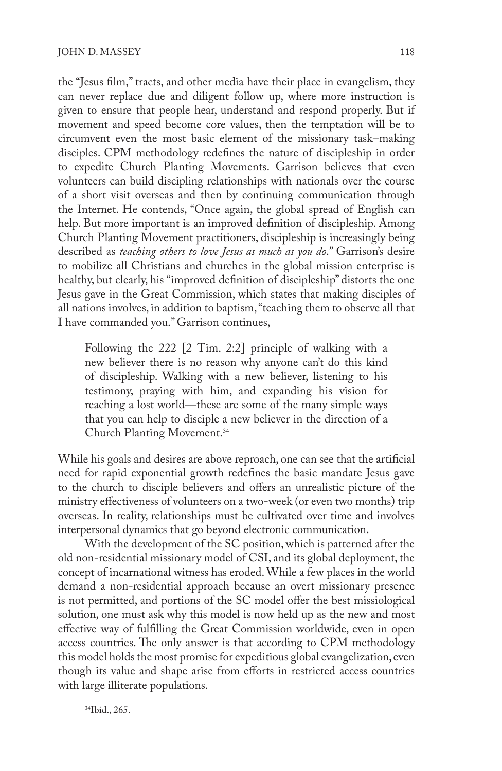the "Jesus film," tracts, and other media have their place in evangelism, they can never replace due and diligent follow up, where more instruction is given to ensure that people hear, understand and respond properly. But if movement and speed become core values, then the temptation will be to circumvent even the most basic element of the missionary task-making disciples. CPM methodology redefines the nature of discipleship in order to expedite Church Planting Movements. Garrison believes that even volunteers can build discipling relationships with nationals over the course of a short visit overseas and then by continuing communication through the Internet. He contends, "Once again, the global spread of English can help. But more important is an improved definition of discipleship. Among Church Planting Movement practitioners, discipleship is increasingly being described as *teaching others to love Jesus as much as you do*." Garrison's desire to mobilize all Christians and churches in the global mission enterprise is healthy, but clearly, his "improved definition of discipleship" distorts the one Jesus gave in the Great Commission, which states that making disciples of all nations involves, in addition to baptism, "teaching them to observe all that I have commanded you." Garrison continues,

Following the 222 [2 Tim. 2:2] principle of walking with a new believer there is no reason why anyone can't do this kind of discipleship. Walking with a new believer, listening to his testimony, praying with him, and expanding his vision for reaching a lost world—these are some of the many simple ways that you can help to disciple a new believer in the direction of a Church Planting Movement.34

While his goals and desires are above reproach, one can see that the artificial need for rapid exponential growth redefines the basic mandate Jesus gave to the church to disciple believers and offers an unrealistic picture of the ministry effectiveness of volunteers on a two-week (or even two months) trip overseas. In reality, relationships must be cultivated over time and involves interpersonal dynamics that go beyond electronic communication.

With the development of the SC position, which is patterned after the old non-residential missionary model of CSI, and its global deployment, the concept of incarnational witness has eroded. While a few places in the world demand a non-residential approach because an overt missionary presence is not permitted, and portions of the SC model offer the best missiological solution, one must ask why this model is now held up as the new and most effective way of fulfilling the Great Commission worldwide, even in open access countries. The only answer is that according to CPM methodology this model holds the most promise for expeditious global evangelization, even though its value and shape arise from efforts in restricted access countries with large illiterate populations.

34Ibid., 265.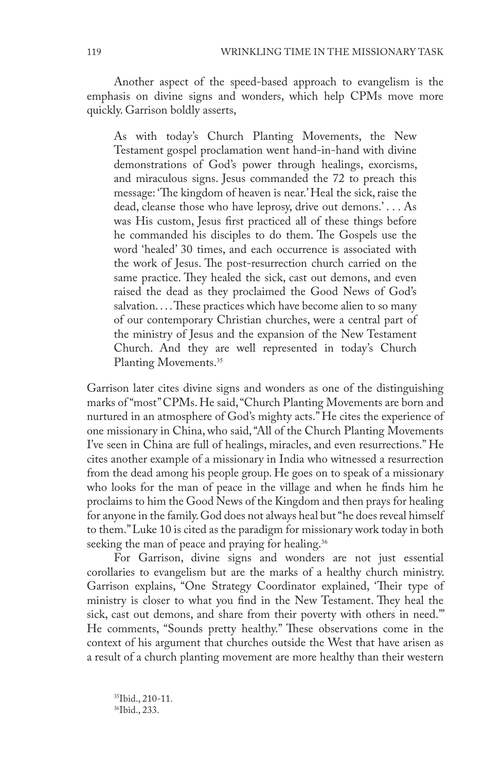Another aspect of the speed-based approach to evangelism is the emphasis on divine signs and wonders, which help CPMs move more quickly. Garrison boldly asserts,

As with today's Church Planting Movements, the New Testament gospel proclamation went hand-in-hand with divine demonstrations of God's power through healings, exorcisms, and miraculous signs. Jesus commanded the 72 to preach this message: 'The kingdom of heaven is near.' Heal the sick, raise the dead, cleanse those who have leprosy, drive out demons.' . . . As was His custom, Jesus first practiced all of these things before he commanded his disciples to do them. The Gospels use the word 'healed' 30 times, and each occurrence is associated with the work of Jesus. The post-resurrection church carried on the same practice. They healed the sick, cast out demons, and even raised the dead as they proclaimed the Good News of God's salvation. . . . These practices which have become alien to so many of our contemporary Christian churches, were a central part of the ministry of Jesus and the expansion of the New Testament Church. And they are well represented in today's Church Planting Movements.<sup>35</sup>

Garrison later cites divine signs and wonders as one of the distinguishing marks of "most" CPMs. He said, "Church Planting Movements are born and nurtured in an atmosphere of God's mighty acts." He cites the experience of one missionary in China, who said, "All of the Church Planting Movements I've seen in China are full of healings, miracles, and even resurrections." He cites another example of a missionary in India who witnessed a resurrection from the dead among his people group. He goes on to speak of a missionary who looks for the man of peace in the village and when he finds him he proclaims to him the Good News of the Kingdom and then prays for healing for anyone in the family. God does not always heal but "he does reveal himself to them." Luke 10 is cited as the paradigm for missionary work today in both seeking the man of peace and praying for healing.<sup>36</sup>

For Garrison, divine signs and wonders are not just essential corollaries to evangelism but are the marks of a healthy church ministry. Garrison explains, "One Strategy Coordinator explained, 'Their type of ministry is closer to what you find in the New Testament. They heal the sick, cast out demons, and share from their poverty with others in need.'" He comments, "Sounds pretty healthy." These observations come in the context of his argument that churches outside the West that have arisen as a result of a church planting movement are more healthy than their western

35Ibid., 210-11. 36Ibid., 233.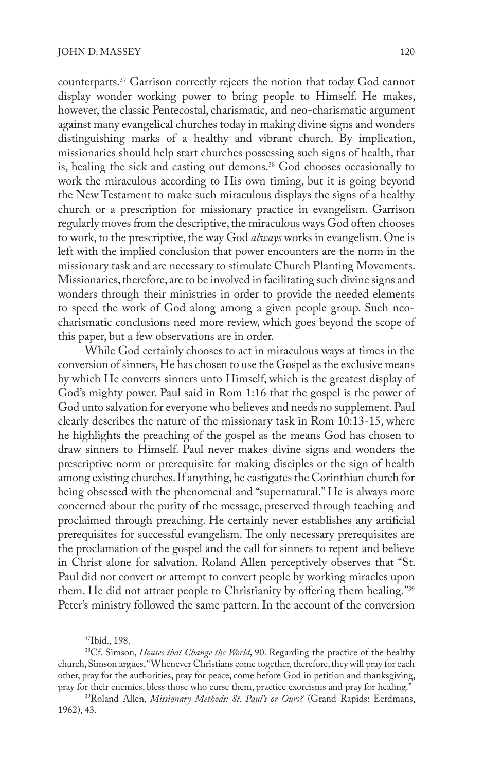counterparts.<sup>37</sup> Garrison correctly rejects the notion that today God cannot display wonder working power to bring people to Himself. He makes, however, the classic Pentecostal, charismatic, and neo-charismatic argument against many evangelical churches today in making divine signs and wonders distinguishing marks of a healthy and vibrant church. By implication, missionaries should help start churches possessing such signs of health, that is, healing the sick and casting out demons.<sup>38</sup> God chooses occasionally to work the miraculous according to His own timing, but it is going beyond the New Testament to make such miraculous displays the signs of a healthy church or a prescription for missionary practice in evangelism. Garrison regularly moves from the descriptive, the miraculous ways God often chooses to work, to the prescriptive, the way God *always* works in evangelism. One is left with the implied conclusion that power encounters are the norm in the missionary task and are necessary to stimulate Church Planting Movements. Missionaries, therefore, are to be involved in facilitating such divine signs and wonders through their ministries in order to provide the needed elements to speed the work of God along among a given people group. Such neocharismatic conclusions need more review, which goes beyond the scope of this paper, but a few observations are in order.

While God certainly chooses to act in miraculous ways at times in the conversion of sinners, He has chosen to use the Gospel as the exclusive means by which He converts sinners unto Himself, which is the greatest display of God's mighty power. Paul said in Rom 1:16 that the gospel is the power of God unto salvation for everyone who believes and needs no supplement. Paul clearly describes the nature of the missionary task in Rom 10:13-15, where he highlights the preaching of the gospel as the means God has chosen to draw sinners to Himself. Paul never makes divine signs and wonders the prescriptive norm or prerequisite for making disciples or the sign of health among existing churches. If anything, he castigates the Corinthian church for being obsessed with the phenomenal and "supernatural." He is always more concerned about the purity of the message, preserved through teaching and proclaimed through preaching. He certainly never establishes any artificial prerequisites for successful evangelism. The only necessary prerequisites are the proclamation of the gospel and the call for sinners to repent and believe in Christ alone for salvation. Roland Allen perceptively observes that "St. Paul did not convert or attempt to convert people by working miracles upon them. He did not attract people to Christianity by offering them healing."<sup>39</sup> Peter's ministry followed the same pattern. In the account of the conversion

37Ibid., 198.

38Cf. Simson, *Houses that Change the World*, 90. Regarding the practice of the healthy church, Simson argues, "Whenever Christians come together, therefore, they will pray for each other, pray for the authorities, pray for peace, come before God in petition and thanksgiving, pray for their enemies, bless those who curse them, practice exorcisms and pray for healing."

39Roland Allen, *Missionary Methods: St. Paul's or Ours?* (Grand Rapids: Eerdmans, 1962), 43.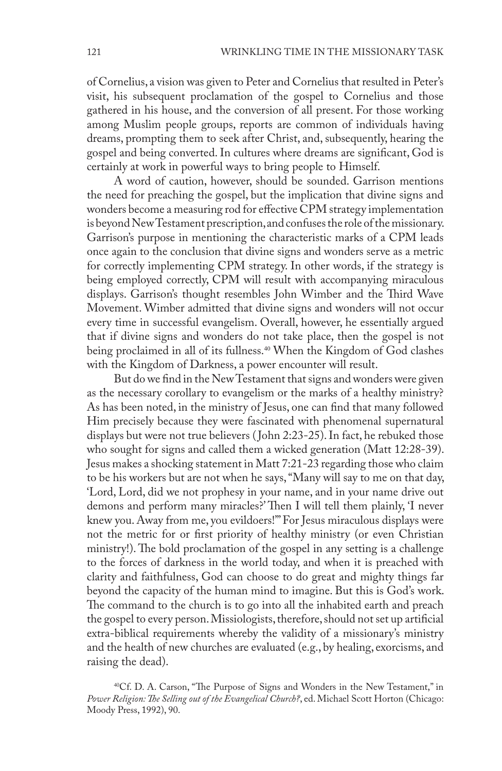of Cornelius, a vision was given to Peter and Cornelius that resulted in Peter's visit, his subsequent proclamation of the gospel to Cornelius and those gathered in his house, and the conversion of all present. For those working among Muslim people groups, reports are common of individuals having dreams, prompting them to seek after Christ, and, subsequently, hearing the gospel and being converted. In cultures where dreams are significant, God is certainly at work in powerful ways to bring people to Himself.

A word of caution, however, should be sounded. Garrison mentions the need for preaching the gospel, but the implication that divine signs and wonders become a measuring rod for effective CPM strategy implementation is beyond New Testament prescription, and confuses the role of the missionary. Garrison's purpose in mentioning the characteristic marks of a CPM leads once again to the conclusion that divine signs and wonders serve as a metric for correctly implementing CPM strategy. In other words, if the strategy is being employed correctly, CPM will result with accompanying miraculous displays. Garrison's thought resembles John Wimber and the Third Wave Movement. Wimber admitted that divine signs and wonders will not occur every time in successful evangelism. Overall, however, he essentially argued that if divine signs and wonders do not take place, then the gospel is not being proclaimed in all of its fullness.<sup>40</sup> When the Kingdom of God clashes with the Kingdom of Darkness, a power encounter will result.

But do we find in the New Testament that signs and wonders were given as the necessary corollary to evangelism or the marks of a healthy ministry? As has been noted, in the ministry of Jesus, one can find that many followed Him precisely because they were fascinated with phenomenal supernatural displays but were not true believers ( John 2:23-25). In fact, he rebuked those who sought for signs and called them a wicked generation (Matt 12:28-39). Jesus makes a shocking statement in Matt 7:21-23 regarding those who claim to be his workers but are not when he says, "Many will say to me on that day, 'Lord, Lord, did we not prophesy in your name, and in your name drive out demons and perform many miracles?' Then I will tell them plainly, 'I never knew you. Away from me, you evildoers!'" For Jesus miraculous displays were not the metric for or first priority of healthy ministry (or even Christian ministry!). The bold proclamation of the gospel in any setting is a challenge to the forces of darkness in the world today, and when it is preached with clarity and faithfulness, God can choose to do great and mighty things far beyond the capacity of the human mind to imagine. But this is God's work. The command to the church is to go into all the inhabited earth and preach the gospel to every person. Missiologists, therefore, should not set up artificial extra-biblical requirements whereby the validity of a missionary's ministry and the health of new churches are evaluated (e.g., by healing, exorcisms, and raising the dead).

<sup>40</sup>Cf. D. A. Carson, "The Purpose of Signs and Wonders in the New Testament," in *Power Religion: The Selling out of the Evangelical Church?*, ed. Michael Scott Horton (Chicago: Moody Press, 1992), 90.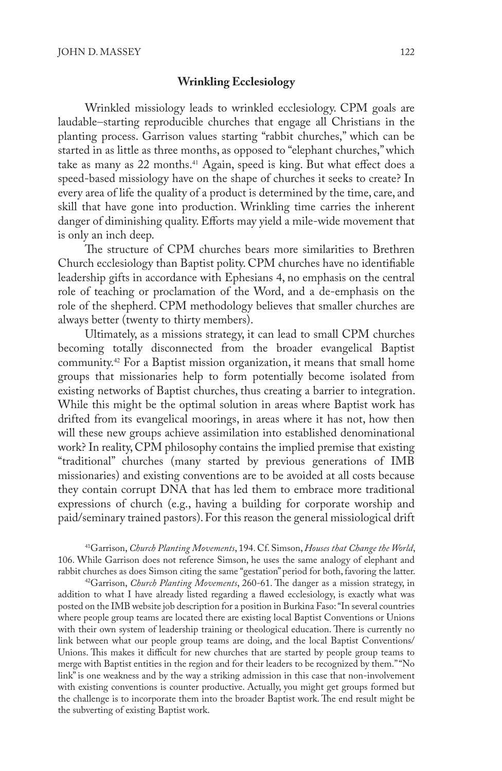#### **Wrinkling Ecclesiology**

Wrinkled missiology leads to wrinkled ecclesiology. CPM goals are laudable-starting reproducible churches that engage all Christians in the planting process. Garrison values starting "rabbit churches," which can be started in as little as three months, as opposed to "elephant churches," which take as many as 22 months.<sup>41</sup> Again, speed is king. But what effect does a speed-based missiology have on the shape of churches it seeks to create? In every area of life the quality of a product is determined by the time, care, and skill that have gone into production. Wrinkling time carries the inherent danger of diminishing quality. Efforts may yield a mile-wide movement that is only an inch deep.

The structure of CPM churches bears more similarities to Brethren Church ecclesiology than Baptist polity. CPM churches have no identifiable leadership gifts in accordance with Ephesians 4, no emphasis on the central role of teaching or proclamation of the Word, and a de-emphasis on the role of the shepherd. CPM methodology believes that smaller churches are always better (twenty to thirty members).

Ultimately, as a missions strategy, it can lead to small CPM churches becoming totally disconnected from the broader evangelical Baptist community.<sup>42</sup> For a Baptist mission organization, it means that small home groups that missionaries help to form potentially become isolated from existing networks of Baptist churches, thus creating a barrier to integration. While this might be the optimal solution in areas where Baptist work has drifted from its evangelical moorings, in areas where it has not, how then will these new groups achieve assimilation into established denominational work? In reality, CPM philosophy contains the implied premise that existing "traditional" churches (many started by previous generations of IMB missionaries) and existing conventions are to be avoided at all costs because they contain corrupt DNA that has led them to embrace more traditional expressions of church (e.g., having a building for corporate worship and paid/seminary trained pastors). For this reason the general missiological drift

41Garrison, *Church Planting Movements*, 194. Cf. Simson, *Houses that Change the World*, 106. While Garrison does not reference Simson, he uses the same analogy of elephant and rabbit churches as does Simson citing the same "gestation" period for both, favoring the latter.

42Garrison, *Church Planting Movements*, 260-61. The danger as a mission strategy, in addition to what I have already listed regarding a flawed ecclesiology, is exactly what was posted on the IMB website job description for a position in Burkina Faso: "In several countries where people group teams are located there are existing local Baptist Conventions or Unions with their own system of leadership training or theological education. There is currently no link between what our people group teams are doing, and the local Baptist Conventions/ Unions. This makes it difficult for new churches that are started by people group teams to merge with Baptist entities in the region and for their leaders to be recognized by them." "No link" is one weakness and by the way a striking admission in this case that non-involvement with existing conventions is counter productive. Actually, you might get groups formed but the challenge is to incorporate them into the broader Baptist work. The end result might be the subverting of existing Baptist work.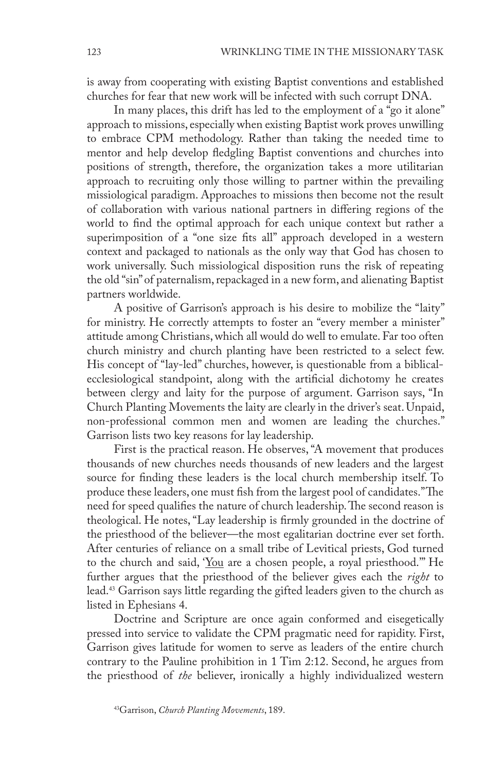is away from cooperating with existing Baptist conventions and established churches for fear that new work will be infected with such corrupt DNA.

In many places, this drift has led to the employment of a "go it alone" approach to missions, especially when existing Baptist work proves unwilling to embrace CPM methodology. Rather than taking the needed time to mentor and help develop fledgling Baptist conventions and churches into positions of strength, therefore, the organization takes a more utilitarian approach to recruiting only those willing to partner within the prevailing missiological paradigm. Approaches to missions then become not the result of collaboration with various national partners in differing regions of the world to find the optimal approach for each unique context but rather a superimposition of a "one size fits all" approach developed in a western context and packaged to nationals as the only way that God has chosen to work universally. Such missiological disposition runs the risk of repeating the old "sin" of paternalism, repackaged in a new form, and alienating Baptist partners worldwide.

A positive of Garrison's approach is his desire to mobilize the "laity" for ministry. He correctly attempts to foster an "every member a minister" attitude among Christians, which all would do well to emulate. Far too often church ministry and church planting have been restricted to a select few. His concept of "lay-led" churches, however, is questionable from a biblicalecclesiological standpoint, along with the artificial dichotomy he creates between clergy and laity for the purpose of argument. Garrison says, "In Church Planting Movements the laity are clearly in the driver's seat. Unpaid, non-professional common men and women are leading the churches." Garrison lists two key reasons for lay leadership.

First is the practical reason. He observes, "A movement that produces thousands of new churches needs thousands of new leaders and the largest source for finding these leaders is the local church membership itself. To produce these leaders, one must fish from the largest pool of candidates." The need for speed qualifies the nature of church leadership. The second reason is theological. He notes, "Lay leadership is firmly grounded in the doctrine of the priesthood of the believer—the most egalitarian doctrine ever set forth. After centuries of reliance on a small tribe of Levitical priests, God turned to the church and said, 'You are a chosen people, a royal priesthood.'" He further argues that the priesthood of the believer gives each the *right* to lead.<sup>43</sup> Garrison says little regarding the gifted leaders given to the church as listed in Ephesians 4.

Doctrine and Scripture are once again conformed and eisegetically pressed into service to validate the CPM pragmatic need for rapidity. First, Garrison gives latitude for women to serve as leaders of the entire church contrary to the Pauline prohibition in 1 Tim 2:12. Second, he argues from the priesthood of *the* believer, ironically a highly individualized western

<sup>43</sup>Garrison, *Church Planting Movements*, 189.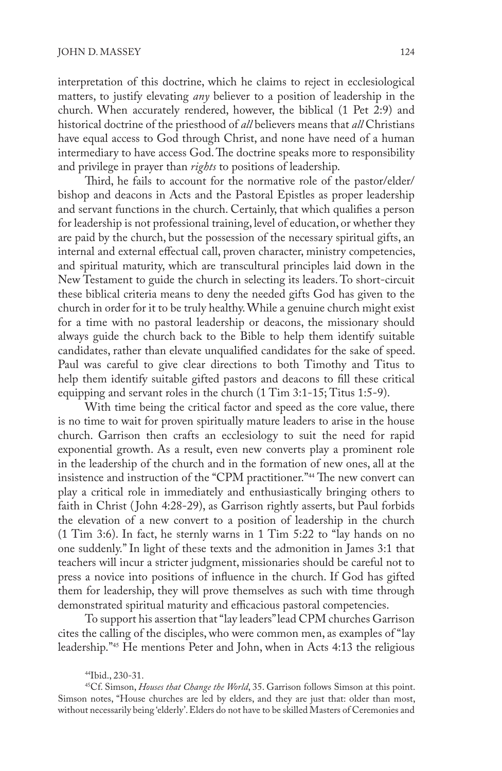interpretation of this doctrine, which he claims to reject in ecclesiological matters, to justify elevating *any* believer to a position of leadership in the church. When accurately rendered, however, the biblical (1 Pet 2:9) and historical doctrine of the priesthood of *all* believers means that *all* Christians have equal access to God through Christ, and none have need of a human intermediary to have access God. The doctrine speaks more to responsibility and privilege in prayer than *rights* to positions of leadership.

Third, he fails to account for the normative role of the pastor/elder/ bishop and deacons in Acts and the Pastoral Epistles as proper leadership and servant functions in the church. Certainly, that which qualifies a person for leadership is not professional training, level of education, or whether they are paid by the church, but the possession of the necessary spiritual gifts, an internal and external effectual call, proven character, ministry competencies, and spiritual maturity, which are transcultural principles laid down in the New Testament to guide the church in selecting its leaders. To short-circuit these biblical criteria means to deny the needed gifts God has given to the church in order for it to be truly healthy. While a genuine church might exist for a time with no pastoral leadership or deacons, the missionary should always guide the church back to the Bible to help them identify suitable candidates, rather than elevate unqualified candidates for the sake of speed. Paul was careful to give clear directions to both Timothy and Titus to help them identify suitable gifted pastors and deacons to fill these critical equipping and servant roles in the church (1 Tim 3:1-15; Titus 1:5-9).

With time being the critical factor and speed as the core value, there is no time to wait for proven spiritually mature leaders to arise in the house church. Garrison then crafts an ecclesiology to suit the need for rapid exponential growth. As a result, even new converts play a prominent role in the leadership of the church and in the formation of new ones, all at the insistence and instruction of the "CPM practitioner."<sup>44</sup> The new convert can play a critical role in immediately and enthusiastically bringing others to faith in Christ ( John 4:28-29), as Garrison rightly asserts, but Paul forbids the elevation of a new convert to a position of leadership in the church (1 Tim 3:6). In fact, he sternly warns in 1 Tim 5:22 to "lay hands on no one suddenly." In light of these texts and the admonition in James 3:1 that teachers will incur a stricter judgment, missionaries should be careful not to press a novice into positions of influence in the church. If God has gifted them for leadership, they will prove themselves as such with time through demonstrated spiritual maturity and efficacious pastoral competencies.

To support his assertion that "lay leaders" lead CPM churches Garrison cites the calling of the disciples, who were common men, as examples of "lay leadership."<sup>45</sup> He mentions Peter and John, when in Acts 4:13 the religious

<sup>44</sup>Ibid., 230-31.

<sup>45</sup>Cf. Simson, *Houses that Change the World*, 35. Garrison follows Simson at this point. Simson notes, "House churches are led by elders, and they are just that: older than most, without necessarily being 'elderly'. Elders do not have to be skilled Masters of Ceremonies and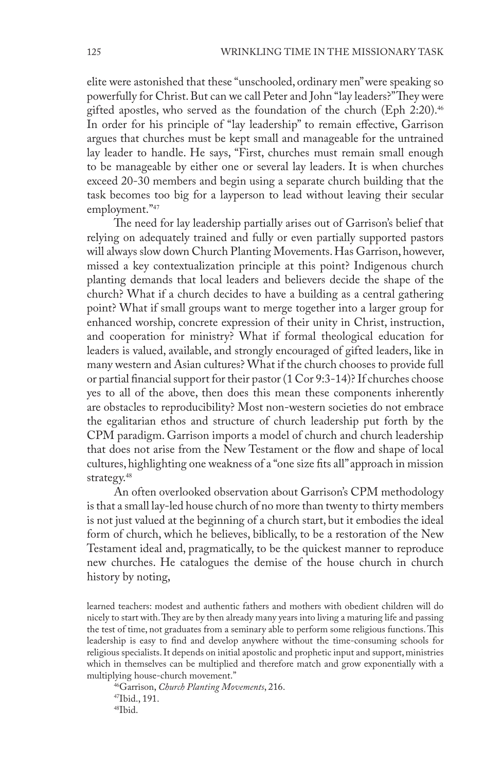elite were astonished that these "unschooled, ordinary men" were speaking so powerfully for Christ. But can we call Peter and John "lay leaders?" They were gifted apostles, who served as the foundation of the church (Eph 2:20).<sup>46</sup> In order for his principle of "lay leadership" to remain effective, Garrison argues that churches must be kept small and manageable for the untrained lay leader to handle. He says, "First, churches must remain small enough to be manageable by either one or several lay leaders. It is when churches exceed 20-30 members and begin using a separate church building that the task becomes too big for a layperson to lead without leaving their secular employment."47

The need for lay leadership partially arises out of Garrison's belief that relying on adequately trained and fully or even partially supported pastors will always slow down Church Planting Movements. Has Garrison, however, missed a key contextualization principle at this point? Indigenous church planting demands that local leaders and believers decide the shape of the church? What if a church decides to have a building as a central gathering point? What if small groups want to merge together into a larger group for enhanced worship, concrete expression of their unity in Christ, instruction, and cooperation for ministry? What if formal theological education for leaders is valued, available, and strongly encouraged of gifted leaders, like in many western and Asian cultures? What if the church chooses to provide full or partial financial support for their pastor (1 Cor 9:3-14)? If churches choose yes to all of the above, then does this mean these components inherently are obstacles to reproducibility? Most non-western societies do not embrace the egalitarian ethos and structure of church leadership put forth by the CPM paradigm. Garrison imports a model of church and church leadership that does not arise from the New Testament or the flow and shape of local cultures, highlighting one weakness of a "one size fits all" approach in mission strategy.<sup>48</sup>

An often overlooked observation about Garrison's CPM methodology is that a small lay-led house church of no more than twenty to thirty members is not just valued at the beginning of a church start, but it embodies the ideal form of church, which he believes, biblically, to be a restoration of the New Testament ideal and, pragmatically, to be the quickest manner to reproduce new churches. He catalogues the demise of the house church in church history by noting,

learned teachers: modest and authentic fathers and mothers with obedient children will do nicely to start with. They are by then already many years into living a maturing life and passing the test of time, not graduates from a seminary able to perform some religious functions. This leadership is easy to find and develop anywhere without the time-consuming schools for religious specialists. It depends on initial apostolic and prophetic input and support, ministries which in themselves can be multiplied and therefore match and grow exponentially with a

<sup>46</sup>Garrison, *Church Planting Movements*, 216. 47Ibid., 191. 48Ibid.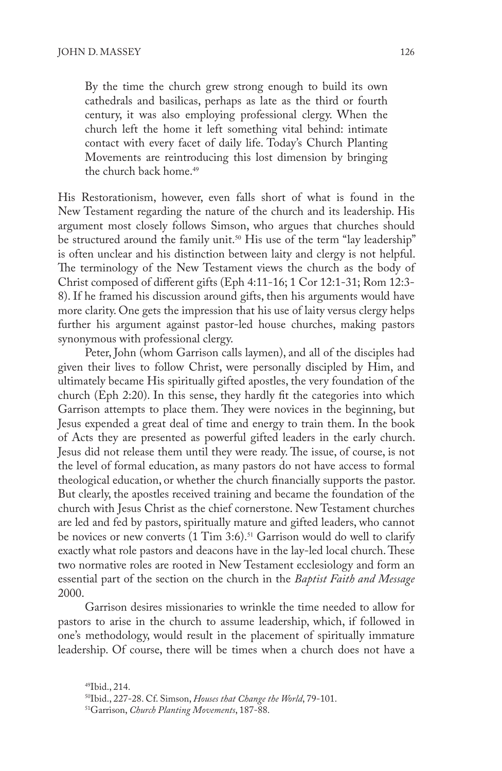By the time the church grew strong enough to build its own cathedrals and basilicas, perhaps as late as the third or fourth century, it was also employing professional clergy. When the church left the home it left something vital behind: intimate contact with every facet of daily life. Today's Church Planting Movements are reintroducing this lost dimension by bringing the church back home.<sup>49</sup>

His Restorationism, however, even falls short of what is found in the New Testament regarding the nature of the church and its leadership. His argument most closely follows Simson, who argues that churches should be structured around the family unit.<sup>50</sup> His use of the term "lay leadership" is often unclear and his distinction between laity and clergy is not helpful. The terminology of the New Testament views the church as the body of Christ composed of different gifts (Eph 4:11-16; 1 Cor 12:1-31; Rom 12:3- 8). If he framed his discussion around gifts, then his arguments would have more clarity. One gets the impression that his use of laity versus clergy helps further his argument against pastor-led house churches, making pastors synonymous with professional clergy.

Peter, John (whom Garrison calls laymen), and all of the disciples had given their lives to follow Christ, were personally discipled by Him, and ultimately became His spiritually gifted apostles, the very foundation of the church (Eph 2:20). In this sense, they hardly fit the categories into which Garrison attempts to place them. They were novices in the beginning, but Jesus expended a great deal of time and energy to train them. In the book of Acts they are presented as powerful gifted leaders in the early church. Jesus did not release them until they were ready. The issue, of course, is not the level of formal education, as many pastors do not have access to formal theological education, or whether the church financially supports the pastor. But clearly, the apostles received training and became the foundation of the church with Jesus Christ as the chief cornerstone. New Testament churches are led and fed by pastors, spiritually mature and gifted leaders, who cannot be novices or new converts  $(1 \text{ Tim } 3.6).$ <sup>51</sup> Garrison would do well to clarify exactly what role pastors and deacons have in the lay-led local church. These two normative roles are rooted in New Testament ecclesiology and form an essential part of the section on the church in the *Baptist Faith and Message*  2000.

Garrison desires missionaries to wrinkle the time needed to allow for pastors to arise in the church to assume leadership, which, if followed in one's methodology, would result in the placement of spiritually immature leadership. Of course, there will be times when a church does not have a

<sup>49</sup>Ibid., 214.

<sup>50</sup>Ibid., 227-28. Cf. Simson, *Houses that Change the World*, 79-101.

<sup>51</sup>Garrison, *Church Planting Movements*, 187-88.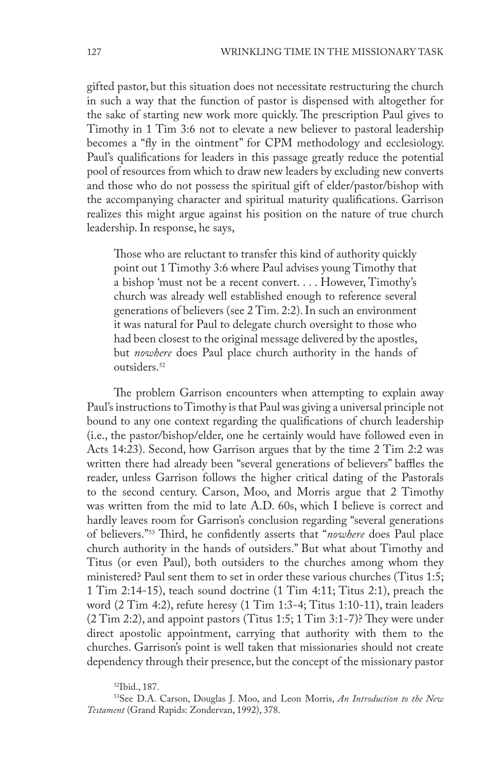gifted pastor, but this situation does not necessitate restructuring the church in such a way that the function of pastor is dispensed with altogether for the sake of starting new work more quickly. The prescription Paul gives to Timothy in 1 Tim 3:6 not to elevate a new believer to pastoral leadership becomes a "fly in the ointment" for CPM methodology and ecclesiology. Paul's qualifications for leaders in this passage greatly reduce the potential pool of resources from which to draw new leaders by excluding new converts and those who do not possess the spiritual gift of elder/pastor/bishop with the accompanying character and spiritual maturity qualifications. Garrison realizes this might argue against his position on the nature of true church leadership. In response, he says,

Those who are reluctant to transfer this kind of authority quickly point out 1 Timothy 3:6 where Paul advises young Timothy that a bishop 'must not be a recent convert. . . . However, Timothy's church was already well established enough to reference several generations of believers (see 2 Tim. 2:2). In such an environment it was natural for Paul to delegate church oversight to those who had been closest to the original message delivered by the apostles, but *nowhere* does Paul place church authority in the hands of outsiders.<sup>52</sup>

The problem Garrison encounters when attempting to explain away Paul's instructions to Timothy is that Paul was giving a universal principle not bound to any one context regarding the qualifications of church leadership (i.e., the pastor/bishop/elder, one he certainly would have followed even in Acts 14:23). Second, how Garrison argues that by the time 2 Tim 2:2 was written there had already been "several generations of believers" baffles the reader, unless Garrison follows the higher critical dating of the Pastorals to the second century. Carson, Moo, and Morris argue that 2 Timothy was written from the mid to late A.D. 60s, which I believe is correct and hardly leaves room for Garrison's conclusion regarding "several generations of believers."<sup>53</sup> Third, he confidently asserts that "*nowhere* does Paul place church authority in the hands of outsiders." But what about Timothy and Titus (or even Paul), both outsiders to the churches among whom they ministered? Paul sent them to set in order these various churches (Titus 1:5; 1 Tim 2:14-15), teach sound doctrine (1 Tim 4:11; Titus 2:1), preach the word (2 Tim 4:2), refute heresy (1 Tim 1:3-4; Titus 1:10-11), train leaders (2 Tim 2:2), and appoint pastors (Titus 1:5; 1 Tim 3:1-7)? They were under direct apostolic appointment, carrying that authority with them to the churches. Garrison's point is well taken that missionaries should not create dependency through their presence, but the concept of the missionary pastor

52Ibid., 187.

53See D.A. Carson, Douglas J. Moo, and Leon Morris, *An Introduction to the New Testament* (Grand Rapids: Zondervan, 1992), 378.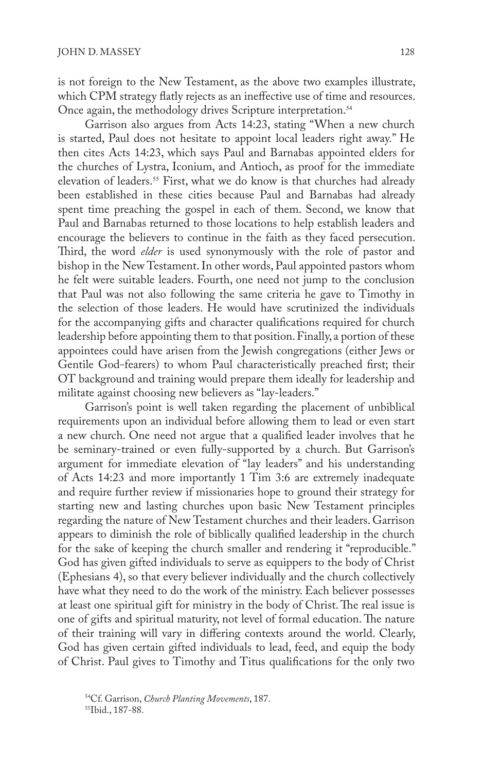is not foreign to the New Testament, as the above two examples illustrate, which CPM strategy flatly rejects as an ineffective use of time and resources. Once again, the methodology drives Scripture interpretation.<sup>54</sup>

Garrison also argues from Acts 14:23, stating "When a new church is started, Paul does not hesitate to appoint local leaders right away." He then cites Acts 14:23, which says Paul and Barnabas appointed elders for the churches of Lystra, Iconium, and Antioch, as proof for the immediate elevation of leaders.<sup>55</sup> First, what we do know is that churches had already been established in these cities because Paul and Barnabas had already spent time preaching the gospel in each of them. Second, we know that Paul and Barnabas returned to those locations to help establish leaders and encourage the believers to continue in the faith as they faced persecution. Third, the word *elder* is used synonymously with the role of pastor and bishop in the New Testament. In other words, Paul appointed pastors whom he felt were suitable leaders. Fourth, one need not jump to the conclusion that Paul was not also following the same criteria he gave to Timothy in the selection of those leaders. He would have scrutinized the individuals for the accompanying gifts and character qualifications required for church leadership before appointing them to that position. Finally, a portion of these appointees could have arisen from the Jewish congregations (either Jews or Gentile God-fearers) to whom Paul characteristically preached first; their OT background and training would prepare them ideally for leadership and militate against choosing new believers as "lay-leaders."

Garrison's point is well taken regarding the placement of unbiblical requirements upon an individual before allowing them to lead or even start a new church. One need not argue that a qualified leader involves that he be seminary-trained or even fully-supported by a church. But Garrison's argument for immediate elevation of "lay leaders" and his understanding of Acts 14:23 and more importantly 1 Tim 3:6 are extremely inadequate and require further review if missionaries hope to ground their strategy for starting new and lasting churches upon basic New Testament principles regarding the nature of New Testament churches and their leaders. Garrison appears to diminish the role of biblically qualified leadership in the church for the sake of keeping the church smaller and rendering it "reproducible." God has given gifted individuals to serve as equippers to the body of Christ (Ephesians 4), so that every believer individually and the church collectively have what they need to do the work of the ministry. Each believer possesses at least one spiritual gift for ministry in the body of Christ. The real issue is one of gifts and spiritual maturity, not level of formal education. The nature of their training will vary in differing contexts around the world. Clearly, God has given certain gifted individuals to lead, feed, and equip the body of Christ. Paul gives to Timothy and Titus qualifications for the only two

<sup>&</sup>lt;sup>54</sup>Cf. Garrison, *Church Planting Movements*, 187.<br><sup>55</sup>Ibid., 187-88.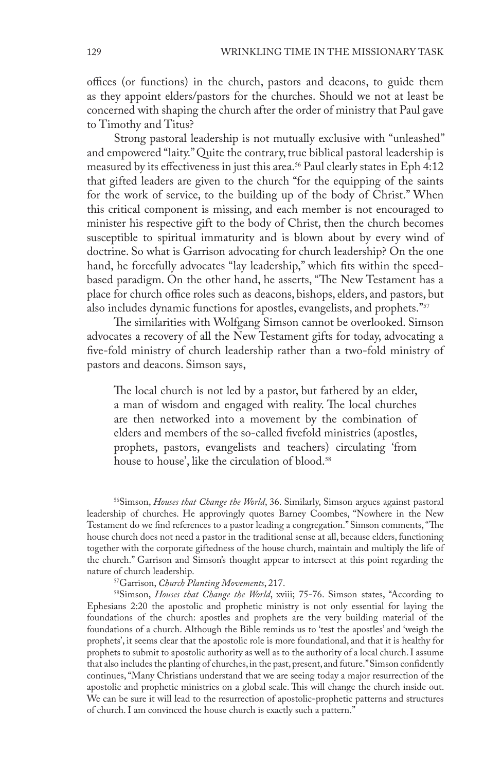offices (or functions) in the church, pastors and deacons, to guide them as they appoint elders/pastors for the churches. Should we not at least be concerned with shaping the church after the order of ministry that Paul gave to Timothy and Titus?

Strong pastoral leadership is not mutually exclusive with "unleashed" and empowered "laity." Quite the contrary, true biblical pastoral leadership is measured by its effectiveness in just this area.<sup>56</sup> Paul clearly states in Eph 4:12 that gifted leaders are given to the church "for the equipping of the saints for the work of service, to the building up of the body of Christ." When this critical component is missing, and each member is not encouraged to minister his respective gift to the body of Christ, then the church becomes susceptible to spiritual immaturity and is blown about by every wind of doctrine. So what is Garrison advocating for church leadership? On the one hand, he forcefully advocates "lay leadership," which fits within the speedbased paradigm. On the other hand, he asserts, "The New Testament has a place for church office roles such as deacons, bishops, elders, and pastors, but also includes dynamic functions for apostles, evangelists, and prophets."<sup>57</sup>

The similarities with Wolfgang Simson cannot be overlooked. Simson advocates a recovery of all the New Testament gifts for today, advocating a five-fold ministry of church leadership rather than a two-fold ministry of pastors and deacons. Simson says,

The local church is not led by a pastor, but fathered by an elder, a man of wisdom and engaged with reality. The local churches are then networked into a movement by the combination of elders and members of the so-called fivefold ministries (apostles, prophets, pastors, evangelists and teachers) circulating 'from house to house', like the circulation of blood.<sup>58</sup>

56Simson, *Houses that Change the World*, 36. Similarly, Simson argues against pastoral leadership of churches. He approvingly quotes Barney Coombes, "Nowhere in the New Testament do we find references to a pastor leading a congregation." Simson comments, "The house church does not need a pastor in the traditional sense at all, because elders, functioning together with the corporate giftedness of the house church, maintain and multiply the life of the church." Garrison and Simson's thought appear to intersect at this point regarding the nature of church leadership.<br><sup>57</sup>Garrison, *Church Planting Movements*, 217.

<sup>58</sup>Simson, *Houses that Change the World*, xviii; 75-76. Simson states, "According to Ephesians 2:20 the apostolic and prophetic ministry is not only essential for laying the foundations of the church: apostles and prophets are the very building material of the foundations of a church. Although the Bible reminds us to 'test the apostles' and 'weigh the prophets', it seems clear that the apostolic role is more foundational, and that it is healthy for prophets to submit to apostolic authority as well as to the authority of a local church. I assume that also includes the planting of churches, in the past, present, and future." Simson confidently continues, "Many Christians understand that we are seeing today a major resurrection of the apostolic and prophetic ministries on a global scale. This will change the church inside out. We can be sure it will lead to the resurrection of apostolic-prophetic patterns and structures of church. I am convinced the house church is exactly such a pattern."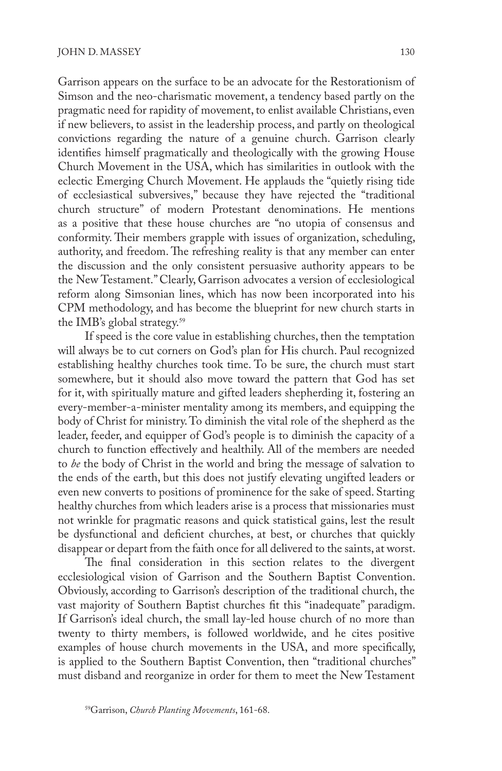Garrison appears on the surface to be an advocate for the Restorationism of Simson and the neo-charismatic movement, a tendency based partly on the pragmatic need for rapidity of movement, to enlist available Christians, even if new believers, to assist in the leadership process, and partly on theological convictions regarding the nature of a genuine church. Garrison clearly identifies himself pragmatically and theologically with the growing House Church Movement in the USA, which has similarities in outlook with the eclectic Emerging Church Movement. He applauds the "quietly rising tide of ecclesiastical subversives," because they have rejected the "traditional church structure" of modern Protestant denominations. He mentions as a positive that these house churches are "no utopia of consensus and conformity. Their members grapple with issues of organization, scheduling, authority, and freedom. The refreshing reality is that any member can enter the discussion and the only consistent persuasive authority appears to be the New Testament." Clearly, Garrison advocates a version of ecclesiological reform along Simsonian lines, which has now been incorporated into his CPM methodology, and has become the blueprint for new church starts in the IMB's global strategy.<sup>59</sup>

If speed is the core value in establishing churches, then the temptation will always be to cut corners on God's plan for His church. Paul recognized establishing healthy churches took time. To be sure, the church must start somewhere, but it should also move toward the pattern that God has set for it, with spiritually mature and gifted leaders shepherding it, fostering an every-member-a-minister mentality among its members, and equipping the body of Christ for ministry. To diminish the vital role of the shepherd as the leader, feeder, and equipper of God's people is to diminish the capacity of a church to function effectively and healthily. All of the members are needed to *be* the body of Christ in the world and bring the message of salvation to the ends of the earth, but this does not justify elevating ungifted leaders or even new converts to positions of prominence for the sake of speed. Starting healthy churches from which leaders arise is a process that missionaries must not wrinkle for pragmatic reasons and quick statistical gains, lest the result be dysfunctional and deficient churches, at best, or churches that quickly disappear or depart from the faith once for all delivered to the saints, at worst.

The final consideration in this section relates to the divergent ecclesiological vision of Garrison and the Southern Baptist Convention. Obviously, according to Garrison's description of the traditional church, the vast majority of Southern Baptist churches fit this "inadequate" paradigm. If Garrison's ideal church, the small lay-led house church of no more than twenty to thirty members, is followed worldwide, and he cites positive examples of house church movements in the USA, and more specifically, is applied to the Southern Baptist Convention, then "traditional churches" must disband and reorganize in order for them to meet the New Testament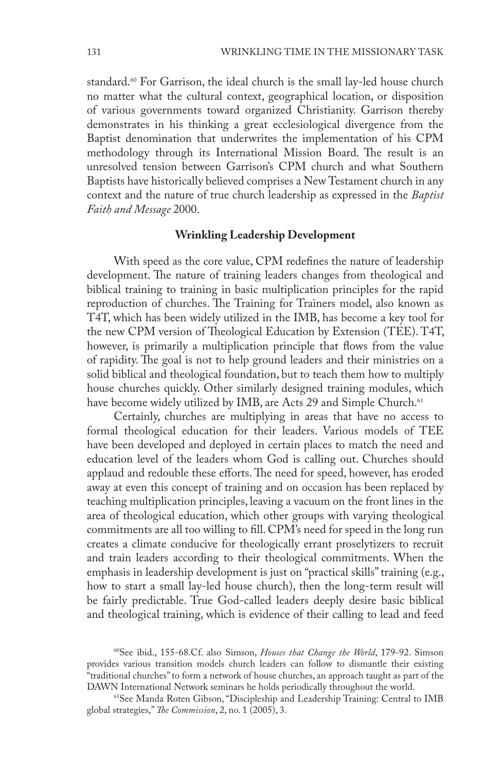standard.<sup>60</sup> For Garrison, the ideal church is the small lay-led house church no matter what the cultural context, geographical location, or disposition of various governments toward organized Christianity. Garrison thereby demonstrates in his thinking a great ecclesiological divergence from the Baptist denomination that underwrites the implementation of his CPM methodology through its International Mission Board. The result is an unresolved tension between Garrison's CPM church and what Southern Baptists have historically believed comprises a New Testament church in any context and the nature of true church leadership as expressed in the *Baptist Faith and Message* 2000.

### **Wrinkling Leadership Development**

With speed as the core value, CPM redefines the nature of leadership development. The nature of training leaders changes from theological and biblical training to training in basic multiplication principles for the rapid reproduction of churches. The Training for Trainers model, also known as T4T, which has been widely utilized in the IMB, has become a key tool for the new CPM version of Theological Education by Extension (TEE). T4T, however, is primarily a multiplication principle that flows from the value of rapidity. The goal is not to help ground leaders and their ministries on a solid biblical and theological foundation, but to teach them how to multiply house churches quickly. Other similarly designed training modules, which have become widely utilized by IMB, are Acts 29 and Simple Church.<sup>61</sup>

Certainly, churches are multiplying in areas that have no access to formal theological education for their leaders. Various models of TEE have been developed and deployed in certain places to match the need and education level of the leaders whom God is calling out. Churches should applaud and redouble these efforts. The need for speed, however, has eroded away at even this concept of training and on occasion has been replaced by teaching multiplication principles, leaving a vacuum on the front lines in the area of theological education, which other groups with varying theological commitments are all too willing to fill. CPM's need for speed in the long run creates a climate conducive for theologically errant proselytizers to recruit and train leaders according to their theological commitments. When the emphasis in leadership development is just on "practical skills" training (e.g., how to start a small lay-led house church), then the long-term result will be fairly predictable. True God-called leaders deeply desire basic biblical and theological training, which is evidence of their calling to lead and feed

60See ibid., 155-68.Cf. also Simson, *Houses that Change the World*, 179-92. Simson provides various transition models church leaders can follow to dismantle their existing "traditional churches" to form a network of house churches, an approach taught as part of the DAWN International Network seminars he holds periodically throughout the world.

61See Manda Roten Gibson, "Discipleship and Leadership Training: Central to IMB global strategies," *The Commission*, 2, no. 1 (2005), 3.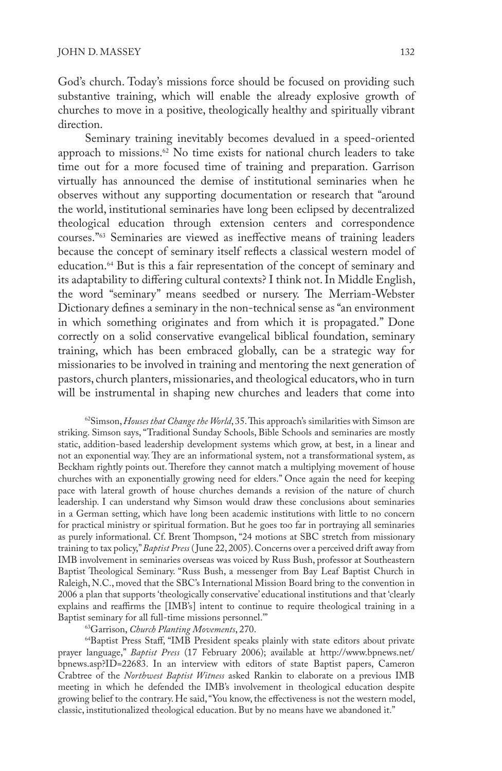God's church. Today's missions force should be focused on providing such substantive training, which will enable the already explosive growth of churches to move in a positive, theologically healthy and spiritually vibrant direction.

Seminary training inevitably becomes devalued in a speed-oriented approach to missions.<sup>62</sup> No time exists for national church leaders to take time out for a more focused time of training and preparation. Garrison virtually has announced the demise of institutional seminaries when he observes without any supporting documentation or research that "around the world, institutional seminaries have long been eclipsed by decentralized theological education through extension centers and correspondence courses."63 Seminaries are viewed as ineffective means of training leaders because the concept of seminary itself reflects a classical western model of education.64 But is this a fair representation of the concept of seminary and its adaptability to differing cultural contexts? I think not. In Middle English, the word "seminary" means seedbed or nursery. The Merriam-Webster Dictionary defines a seminary in the non-technical sense as "an environment in which something originates and from which it is propagated." Done correctly on a solid conservative evangelical biblical foundation, seminary training, which has been embraced globally, can be a strategic way for missionaries to be involved in training and mentoring the next generation of pastors, church planters, missionaries, and theological educators, who in turn will be instrumental in shaping new churches and leaders that come into

62Simson, *Houses that Change the World*, 35. This approach's similarities with Simson are striking. Simson says, "Traditional Sunday Schools, Bible Schools and seminaries are mostly static, addition-based leadership development systems which grow, at best, in a linear and not an exponential way. They are an informational system, not a transformational system, as Beckham rightly points out. Therefore they cannot match a multiplying movement of house churches with an exponentially growing need for elders." Once again the need for keeping pace with lateral growth of house churches demands a revision of the nature of church leadership. I can understand why Simson would draw these conclusions about seminaries in a German setting, which have long been academic institutions with little to no concern for practical ministry or spiritual formation. But he goes too far in portraying all seminaries as purely informational. Cf. Brent Thompson, "24 motions at SBC stretch from missionary training to tax policy," *Baptist Press* ( June 22, 2005). Concerns over a perceived drift away from IMB involvement in seminaries overseas was voiced by Russ Bush, professor at Southeastern Baptist Theological Seminary. "Russ Bush, a messenger from Bay Leaf Baptist Church in Raleigh, N.C., moved that the SBC's International Mission Board bring to the convention in 2006 a plan that supports 'theologically conservative' educational institutions and that 'clearly explains and reaffirms the [IMB's] intent to continue to require theological training in a Baptist seminary for all full-time missions personnel.'"

63Garrison, *Church Planting Movements*, 270.

64Baptist Press Staff, "IMB President speaks plainly with state editors about private prayer language," *Baptist Press* (17 February 2006); available at http://www.bpnews.net/ bpnews.asp?ID=22683. In an interview with editors of state Baptist papers, Cameron Crabtree of the *Northwest Baptist Witness* asked Rankin to elaborate on a previous IMB meeting in which he defended the IMB's involvement in theological education despite growing belief to the contrary. He said, "You know, the effectiveness is not the western model, classic, institutionalized theological education. But by no means have we abandoned it."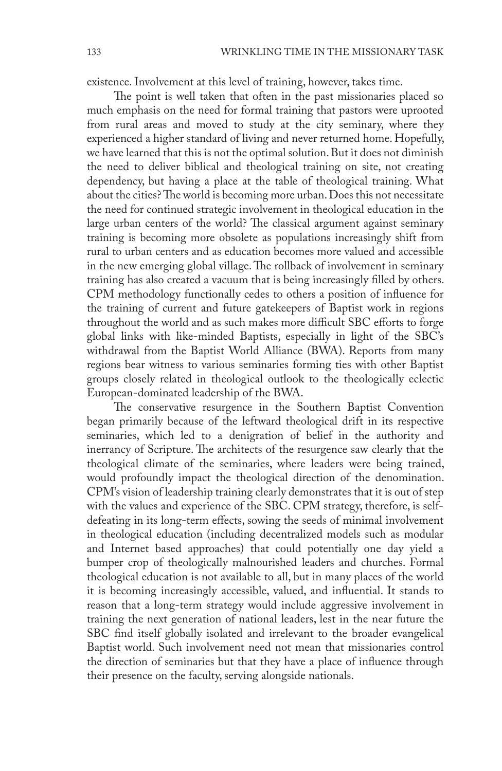existence. Involvement at this level of training, however, takes time.

The point is well taken that often in the past missionaries placed so much emphasis on the need for formal training that pastors were uprooted from rural areas and moved to study at the city seminary, where they experienced a higher standard of living and never returned home. Hopefully, we have learned that this is not the optimal solution. But it does not diminish the need to deliver biblical and theological training on site, not creating dependency, but having a place at the table of theological training. What about the cities? The world is becoming more urban. Does this not necessitate the need for continued strategic involvement in theological education in the large urban centers of the world? The classical argument against seminary training is becoming more obsolete as populations increasingly shift from rural to urban centers and as education becomes more valued and accessible in the new emerging global village. The rollback of involvement in seminary training has also created a vacuum that is being increasingly filled by others. CPM methodology functionally cedes to others a position of influence for the training of current and future gatekeepers of Baptist work in regions throughout the world and as such makes more difficult SBC efforts to forge global links with like-minded Baptists, especially in light of the SBC's withdrawal from the Baptist World Alliance (BWA). Reports from many regions bear witness to various seminaries forming ties with other Baptist groups closely related in theological outlook to the theologically eclectic European-dominated leadership of the BWA.

The conservative resurgence in the Southern Baptist Convention began primarily because of the leftward theological drift in its respective seminaries, which led to a denigration of belief in the authority and inerrancy of Scripture. The architects of the resurgence saw clearly that the theological climate of the seminaries, where leaders were being trained, would profoundly impact the theological direction of the denomination. CPM's vision of leadership training clearly demonstrates that it is out of step with the values and experience of the SBC. CPM strategy, therefore, is selfdefeating in its long-term effects, sowing the seeds of minimal involvement in theological education (including decentralized models such as modular and Internet based approaches) that could potentially one day yield a bumper crop of theologically malnourished leaders and churches. Formal theological education is not available to all, but in many places of the world it is becoming increasingly accessible, valued, and influential. It stands to reason that a long-term strategy would include aggressive involvement in training the next generation of national leaders, lest in the near future the SBC find itself globally isolated and irrelevant to the broader evangelical Baptist world. Such involvement need not mean that missionaries control the direction of seminaries but that they have a place of influence through their presence on the faculty, serving alongside nationals.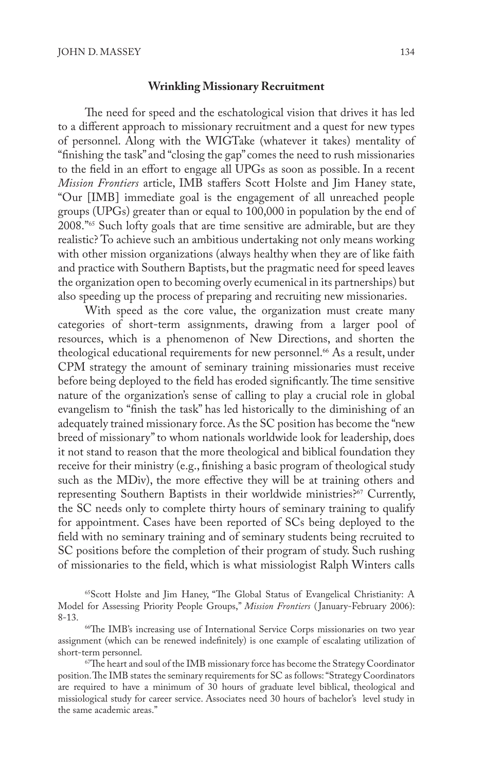#### **Wrinkling Missionary Recruitment**

The need for speed and the eschatological vision that drives it has led to a different approach to missionary recruitment and a quest for new types of personnel. Along with the WIGTake (whatever it takes) mentality of "finishing the task" and "closing the gap" comes the need to rush missionaries to the field in an effort to engage all UPGs as soon as possible. In a recent *Mission Frontiers* article, IMB staffers Scott Holste and Jim Haney state, "Our [IMB] immediate goal is the engagement of all unreached people groups (UPGs) greater than or equal to 100,000 in population by the end of 2008."65 Such lofty goals that are time sensitive are admirable, but are they realistic? To achieve such an ambitious undertaking not only means working with other mission organizations (always healthy when they are of like faith and practice with Southern Baptists, but the pragmatic need for speed leaves the organization open to becoming overly ecumenical in its partnerships) but also speeding up the process of preparing and recruiting new missionaries.

With speed as the core value, the organization must create many categories of short-term assignments, drawing from a larger pool of resources, which is a phenomenon of New Directions, and shorten the theological educational requirements for new personnel.<sup>66</sup> As a result, under CPM strategy the amount of seminary training missionaries must receive before being deployed to the field has eroded significantly. The time sensitive nature of the organization's sense of calling to play a crucial role in global evangelism to "finish the task" has led historically to the diminishing of an adequately trained missionary force. As the SC position has become the "new breed of missionary" to whom nationals worldwide look for leadership, does it not stand to reason that the more theological and biblical foundation they receive for their ministry (e.g., finishing a basic program of theological study such as the MDiv), the more effective they will be at training others and representing Southern Baptists in their worldwide ministries?<sup>67</sup> Currently, the SC needs only to complete thirty hours of seminary training to qualify for appointment. Cases have been reported of SCs being deployed to the field with no seminary training and of seminary students being recruited to SC positions before the completion of their program of study. Such rushing of missionaries to the field, which is what missiologist Ralph Winters calls

65Scott Holste and Jim Haney, "The Global Status of Evangelical Christianity: A Model for Assessing Priority People Groups," *Mission Frontiers* ( January-February 2006): 8-13.

<sup>&</sup>lt;sup>66</sup>The IMB's increasing use of International Service Corps missionaries on two year assignment (which can be renewed indefinitely) is one example of escalating utilization of short-term personnel.

<sup>67</sup>The heart and soul of the IMB missionary force has become the Strategy Coordinator position. The IMB states the seminary requirements for SC as follows: "Strategy Coordinators are required to have a minimum of 30 hours of graduate level biblical, theological and missiological study for career service. Associates need 30 hours of bachelor's level study in the same academic areas."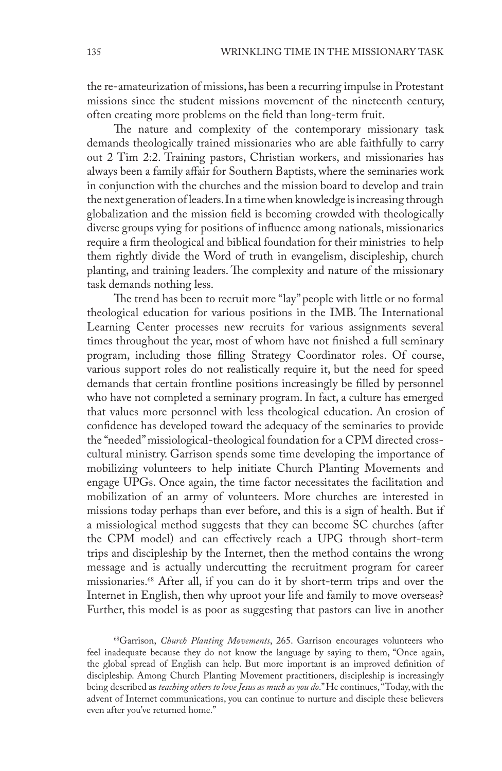the re-amateurization of missions, has been a recurring impulse in Protestant missions since the student missions movement of the nineteenth century, often creating more problems on the field than long-term fruit.

The nature and complexity of the contemporary missionary task demands theologically trained missionaries who are able faithfully to carry out 2 Tim 2:2. Training pastors, Christian workers, and missionaries has always been a family affair for Southern Baptists, where the seminaries work in conjunction with the churches and the mission board to develop and train the next generation of leaders. In a time when knowledge is increasing through globalization and the mission field is becoming crowded with theologically diverse groups vying for positions of influence among nationals, missionaries require a firm theological and biblical foundation for their ministries to help them rightly divide the Word of truth in evangelism, discipleship, church planting, and training leaders. The complexity and nature of the missionary task demands nothing less.

The trend has been to recruit more "lay" people with little or no formal theological education for various positions in the IMB. The International Learning Center processes new recruits for various assignments several times throughout the year, most of whom have not finished a full seminary program, including those filling Strategy Coordinator roles. Of course, various support roles do not realistically require it, but the need for speed demands that certain frontline positions increasingly be filled by personnel who have not completed a seminary program. In fact, a culture has emerged that values more personnel with less theological education. An erosion of confidence has developed toward the adequacy of the seminaries to provide the "needed" missiological-theological foundation for a CPM directed crosscultural ministry. Garrison spends some time developing the importance of mobilizing volunteers to help initiate Church Planting Movements and engage UPGs. Once again, the time factor necessitates the facilitation and mobilization of an army of volunteers. More churches are interested in missions today perhaps than ever before, and this is a sign of health. But if a missiological method suggests that they can become SC churches (after the CPM model) and can effectively reach a UPG through short-term trips and discipleship by the Internet, then the method contains the wrong message and is actually undercutting the recruitment program for career missionaries.68 After all, if you can do it by short-term trips and over the Internet in English, then why uproot your life and family to move overseas? Further, this model is as poor as suggesting that pastors can live in another

68Garrison, *Church Planting Movements*, 265. Garrison encourages volunteers who feel inadequate because they do not know the language by saying to them, "Once again, the global spread of English can help. But more important is an improved definition of discipleship. Among Church Planting Movement practitioners, discipleship is increasingly being described as *teaching others to love Jesus as much as you do*." He continues, "Today, with the advent of Internet communications, you can continue to nurture and disciple these believers even after you've returned home."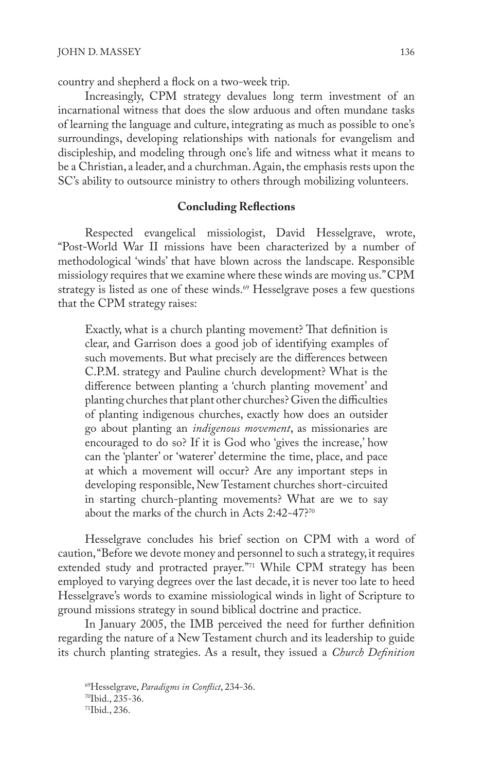country and shepherd a flock on a two-week trip.

Increasingly, CPM strategy devalues long term investment of an incarnational witness that does the slow arduous and often mundane tasks of learning the language and culture, integrating as much as possible to one's surroundings, developing relationships with nationals for evangelism and discipleship, and modeling through one's life and witness what it means to be a Christian, a leader, and a churchman. Again, the emphasis rests upon the SC's ability to outsource ministry to others through mobilizing volunteers.

## **Concluding Reflections**

Respected evangelical missiologist, David Hesselgrave, wrote, "Post-World War II missions have been characterized by a number of methodological 'winds' that have blown across the landscape. Responsible missiology requires that we examine where these winds are moving us." CPM strategy is listed as one of these winds.<sup>69</sup> Hesselgrave poses a few questions that the CPM strategy raises:

Exactly, what is a church planting movement? That definition is clear, and Garrison does a good job of identifying examples of such movements. But what precisely are the differences between C.P.M. strategy and Pauline church development? What is the difference between planting a 'church planting movement' and planting churches that plant other churches? Given the difficulties of planting indigenous churches, exactly how does an outsider go about planting an *indigenous movement*, as missionaries are encouraged to do so? If it is God who 'gives the increase,' how can the 'planter' or 'waterer' determine the time, place, and pace at which a movement will occur? Are any important steps in developing responsible, New Testament churches short-circuited in starting church-planting movements? What are we to say about the marks of the church in Acts 2:42-47?<sup>70</sup>

Hesselgrave concludes his brief section on CPM with a word of caution, "Before we devote money and personnel to such a strategy, it requires extended study and protracted prayer."<sup>71</sup> While CPM strategy has been employed to varying degrees over the last decade, it is never too late to heed Hesselgrave's words to examine missiological winds in light of Scripture to ground missions strategy in sound biblical doctrine and practice.

In January 2005, the IMB perceived the need for further definition regarding the nature of a New Testament church and its leadership to guide its church planting strategies. As a result, they issued a *Church Definition* 

<sup>69</sup>Hesselgrave, *Paradigms in Conflict*, 234-36. 70Ibid., 235-36. 71Ibid., 236.